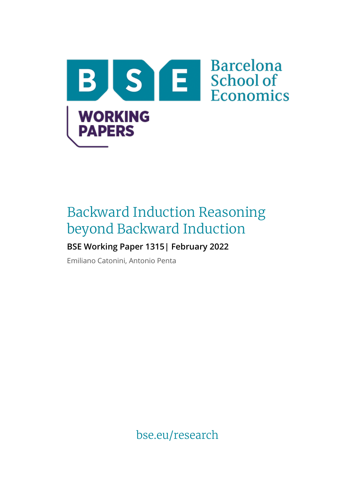

# Backward Induction Reasoning beyond Backward Induction

## **BSE Working Paper 1315| February 2022**

Emiliano Catonini, Antonio Penta

bse.eu/research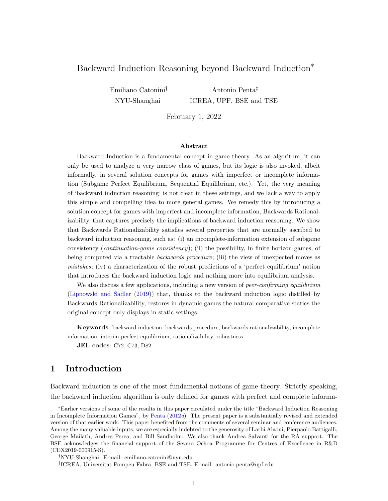## Backward Induction Reasoning beyond Backward Induction<sup>\*</sup>

Emiliano Catonini† NYU-Shanghai

Antonio Penta‡ ICREA, UPF, BSE and TSE

February 1, 2022

#### Abstract

Backward Induction is a fundamental concept in game theory. As an algorithm, it can only be used to analyze a very narrow class of games, but its logic is also invoked, albeit informally, in several solution concepts for games with imperfect or incomplete information (Subgame Perfect Equilibrium, Sequential Equilibrium, etc.). Yet, the very meaning of 'backward induction reasoning' is not clear in these settings, and we lack a way to apply this simple and compelling idea to more general games. We remedy this by introducing a solution concept for games with imperfect and incomplete information, Backwards Rationalizability, that captures precisely the implications of backward induction reasoning. We show that Backwards Rationalizability satisfies several properties that are normally ascribed to backward induction reasoning, such as: (i) an incomplete-information extension of subgame consistency (continuation-game consistency); (ii) the possibility, in finite horizon games, of being computed via a tractable *backwards procedure*; (iii) the view of unexpected moves as mistakes; (iv) a characterization of the robust predictions of a 'perfect equilibrium' notion that introduces the backward induction logic and nothing more into equilibrium analysis.

We also discuss a few applications, including a new version of *peer-confirming equilibrium* [\(Lipnowski and Sadler](#page-34-0) [\(2019\)](#page-34-0)) that, thanks to the backward induction logic distilled by Backwards Rationalizability, restores in dynamic games the natural comparative statics the original concept only displays in static settings.

Keywords: backward induction, backwards procedure, backwards rationalizability, incomplete information, interim perfect equilibrium, rationalizability, robustness

JEL codes: C72, C73, D82.

## 1 Introduction

Backward induction is one of the most fundamental notions of game theory. Strictly speaking, the backward induction algorithm is only defined for games with perfect and complete informa-

<sup>∗</sup>Earlier versions of some of the results in this paper circulated under the title "Backward Induction Reasoning in Incomplete Information Games", by [Penta](#page-34-1)  $(2012a)$  $(2012a)$ . The present paper is a substantially revised and extended version of that earlier work. This paper benefited from the comments of several seminar and conference audiences. Among the many valuable inputs, we are especially indebted to the generosity of Larbi Alaoui, Pierpaolo Battigalli, George Mailath, Andres Perea, and Bill Sandholm. We also thank Andrea Salvanti for the RA support. The BSE acknowledges the financial support of the Severo Ochoa Programme for Centres of Excellence in R&D (CEX2019-000915-S).

<sup>†</sup>NYU-Shanghai. E-mail: emiliano.catonini@nyu.edu

<sup>‡</sup> ICREA, Universitat Pompeu Fabra, BSE and TSE. E-mail: antonio.penta@upf.edu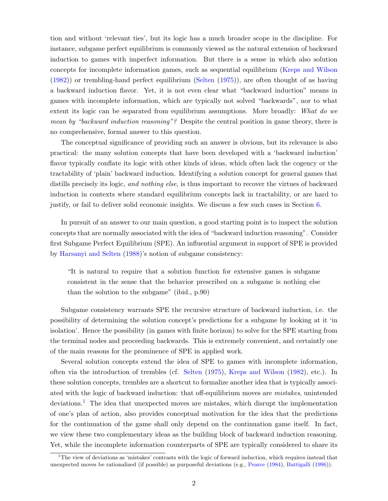tion and without 'relevant ties', but its logic has a much broader scope in the discipline. For instance, subgame perfect equilibrium is commonly viewed as the natural extension of backward induction to games with imperfect information. But there is a sense in which also solution concepts for incomplete information games, such as sequential equilibrium [\(Kreps and Wilson](#page-34-2) [\(1982\)](#page-34-2)) or trembling-hand perfect equilibrium [\(Selten](#page-35-0) [\(1975\)](#page-35-0)), are often thought of as having a backward induction flavor. Yet, it is not even clear what "backward induction" means in games with incomplete information, which are typically not solved "backwards", nor to what extent its logic can be separated from equilibrium assumptions. More broadly: What do we mean by "backward induction reasoning"? Despite the central position in game theory, there is no comprehensive, formal answer to this question.

The conceptual significance of providing such an answer is obvious, but its relevance is also practical: the many solution concepts that have been developed with a 'backward induction' flavor typically conflate its logic with other kinds of ideas, which often lack the cogency or the tractability of 'plain' backward induction. Identifying a solution concept for general games that distills precisely its logic, and nothing else, is thus important to recover the virtues of backward induction in contexts where standard equilibrium concepts lack in tractability, or are hard to justify, or fail to deliver solid economic insights. We discuss a few such cases in Section [6.](#page-22-0)

In pursuit of an answer to our main question, a good starting point is to inspect the solution concepts that are normally associated with the idea of "backward induction reasoning". Consider first Subgame Perfect Equilibrium (SPE). An influential argument in support of SPE is provided by [Harsanyi and Selten](#page-33-0) [\(1988\)](#page-33-0)'s notion of subgame consistency:

"It is natural to require that a solution function for extensive games is subgame consistent in the sense that the behavior prescribed on a subgame is nothing else than the solution to the subgame" (ibid., p.90)

Subgame consistency warrants SPE the recursive structure of backward induction, i.e. the possibility of determining the solution concept's predictions for a subgame by looking at it 'in isolation'. Hence the possibility (in games with finite horizon) to solve for the SPE starting from the terminal nodes and proceeding backwards. This is extremely convenient, and certaintly one of the main reasons for the prominence of SPE in applied work.

Several solution concepts extend the idea of SPE to games with incomplete information, often via the introduction of trembles (cf. [Selten](#page-35-0) [\(1975\)](#page-35-0), [Kreps and Wilson](#page-34-2) [\(1982\)](#page-34-2), etc.). In these solution concepts, trembles are a shortcut to formalize another idea that is typically associated with the logic of backward induction: that off-equilibrium moves are mistakes, unintended deviations.<sup>[1](#page-2-0)</sup> The idea that unexpected moves are mistakes, which disrupt the implementation of one's plan of action, also provides conceptual motivation for the idea that the predictions for the continuation of the game shall only depend on the continuation game itself. In fact, we view these two complementary ideas as the building block of backward induction reasoning. Yet, while the incomplete information counterparts of SPE are typically considered to share its

<span id="page-2-0"></span> $1$ <sup>1</sup>The view of deviations as 'mistakes' contrasts with the logic of forward induction, which requires instead that unexpected moves be rationalized (if possible) as purposeful deviations (e.g., [Pearce](#page-34-3) [\(1984\)](#page-34-3), [Battigalli](#page-32-0) [\(1996\)](#page-32-0)).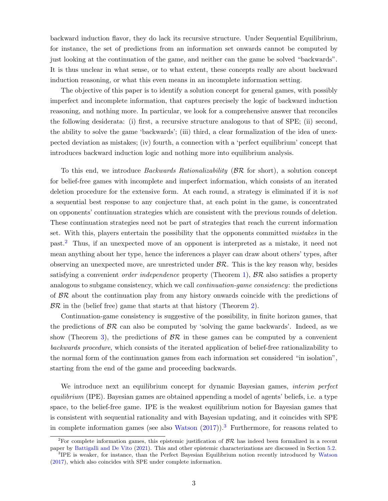backward induction flavor, they do lack its recursive structure. Under Sequential Equilibrium, for instance, the set of predictions from an information set onwards cannot be computed by just looking at the continuation of the game, and neither can the game be solved "backwards". It is thus unclear in what sense, or to what extent, these concepts really are about backward induction reasoning, or what this even means in an incomplete information setting.

The objective of this paper is to identify a solution concept for general games, with possibly imperfect and incomplete information, that captures precisely the logic of backward induction reasoning, and nothing more. In particular, we look for a comprehensive answer that reconciles the following desiderata: (i) first, a recursive structure analogous to that of SPE; (ii) second, the ability to solve the game 'backwards'; (iii) third, a clear formalization of the idea of unexpected deviation as mistakes; (iv) fourth, a connection with a 'perfect equilibrium' concept that introduces backward induction logic and nothing more into equilibrium analysis.

To this end, we introduce *Backwards Rationalizability* ( $\beta \mathcal{R}$  for short), a solution concept for belief-free games with incomplete and imperfect information, which consists of an iterated deletion procedure for the extensive form. At each round, a strategy is eliminated if it is not a sequential best response to any conjecture that, at each point in the game, is concentrated on opponents' continuation strategies which are consistent with the previous rounds of deletion. These continuation strategies need not be part of strategies that reach the current information set. With this, players entertain the possibility that the opponents committed *mistakes* in the past.[2](#page-3-0) Thus, if an unexpected move of an opponent is interpreted as a mistake, it need not mean anything about her type, hence the inferences a player can draw about others' types, after observing an unexpected move, are unrestricted under  $\mathcal{BR}$ . This is the key reason why, besides satisfying a convenient *order independence* property (Theorem [1\)](#page-10-0),  $\mathcal{BR}$  also satisfies a property analogous to subgame consistency, which we call *continuation-game consistency*: the predictions of  $\beta \mathcal{R}$  about the continuation play from any history onwards coincide with the predictions of  $BR$  in the (belief free) game that starts at that history (Theorem [2\)](#page-11-0).

Continuation-game consistency is suggestive of the possibility, in finite horizon games, that the predictions of  $\beta \mathcal{R}$  can also be computed by 'solving the game backwards'. Indeed, as we show (Theorem [3\)](#page-13-0), the predictions of  $\mathcal{BR}$  in these games can be computed by a convenient backwards procedure, which consists of the iterated application of belief-free rationalizability to the normal form of the continuation games from each information set considered "in isolation", starting from the end of the game and proceeding backwards.

We introduce next an equilibrium concept for dynamic Bayesian games, *interim perfect* equilibrium (IPE). Bayesian games are obtained appending a model of agents' beliefs, i.e. a type space, to the belief-free game. IPE is the weakest equilibrium notion for Bayesian games that is consistent with sequential rationality and with Bayesian updating, and it coincides with SPE in complete information games (see also [Watson](#page-35-1)  $(2017)$ ).<sup>[3](#page-3-1)</sup> Furthermore, for reasons related to

<span id="page-3-0"></span><sup>&</sup>lt;sup>2</sup>For complete information games, this epistemic justification of  $\beta \mathcal{R}$  has indeed been formalized in a recent paper by [Battigalli and De Vito](#page-32-1) [\(2021\)](#page-32-1). This and other epistemic characterizations are discussed in Section [5.2.](#page-19-0)

<span id="page-3-1"></span><sup>&</sup>lt;sup>3</sup>IPE is weaker, for instance, than the Perfect Bayesian Equilibrium notion recently introduced by [Watson](#page-35-1) [\(2017\)](#page-35-1), which also coincides with SPE under complete information.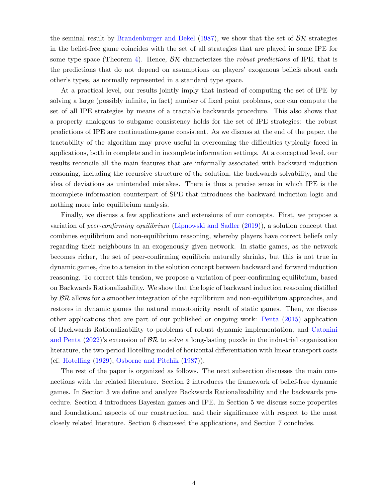the seminal result by [Brandenburger and Dekel](#page-33-1) [\(1987\)](#page-33-1), we show that the set of  $\beta \mathcal{R}$  strategies in the belief-free game coincides with the set of all strategies that are played in some IPE for some type space (Theorem [4\)](#page-17-0). Hence,  $\mathcal{BR}$  characterizes the *robust predictions* of IPE, that is the predictions that do not depend on assumptions on players' exogenous beliefs about each other's types, as normally represented in a standard type space.

At a practical level, our results jointly imply that instead of computing the set of IPE by solving a large (possibly infinite, in fact) number of fixed point problems, one can compute the set of all IPE strategies by means of a tractable backwards procedure. This also shows that a property analogous to subgame consistency holds for the set of IPE strategies: the robust predictions of IPE are continuation-game consistent. As we discuss at the end of the paper, the tractability of the algorithm may prove useful in overcoming the difficulties typically faced in applications, both in complete and in incomplete information settings. At a conceptual level, our results reconcile all the main features that are informally associated with backward induction reasoning, including the recursive structure of the solution, the backwards solvability, and the idea of deviations as unintended mistakes. There is thus a precise sense in which IPE is the incomplete information counterpart of SPE that introduces the backward induction logic and nothing more into equilibrium analysis.

Finally, we discuss a few applications and extensions of our concepts. First, we propose a variation of peer-confirming equilibrium [\(Lipnowski and Sadler](#page-34-0) [\(2019\)](#page-34-0)), a solution concept that combines equilibrium and non-equilibrium reasoning, whereby players have correct beliefs only regarding their neighbours in an exogenously given network. In static games, as the network becomes richer, the set of peer-confirming equilibria naturally shrinks, but this is not true in dynamic games, due to a tension in the solution concept between backward and forward induction reasoning. To correct this tension, we propose a variation of peer-confirming equilibrium, based on Backwards Rationalizability. We show that the logic of backward induction reasoning distilled by  $\beta \mathcal{R}$  allows for a smoother integration of the equilibrium and non-equilibrium approaches, and restores in dynamic games the natural monotonicity result of static games. Then, we discuss other applications that are part of our published or ongoing work: [Penta](#page-34-4) [\(2015\)](#page-34-4) application of Backwards Rationalizability to problems of robust dynamic implementation; and [Catonini](#page-33-2) [and Penta](#page-33-2) [\(2022\)](#page-33-2)'s extension of  $\mathcal{BR}$  to solve a long-lasting puzzle in the industrial organization literature, the two-period Hotelling model of horizontal differentiation with linear transport costs (cf. [Hotelling](#page-34-5) [\(1929\)](#page-34-5), [Osborne and Pitchik](#page-34-6) [\(1987\)](#page-34-6)).

The rest of the paper is organized as follows. The next subsection discusses the main connections with the related literature. Section 2 introduces the framework of belief-free dynamic games. In Section 3 we define and analyze Backwards Rationalizability and the backwards procedure. Section 4 introduces Bayesian games and IPE. In Section 5 we discuss some properties and foundational aspects of our construction, and their significance with respect to the most closely related literature. Section 6 discussed the applications, and Section 7 concludes.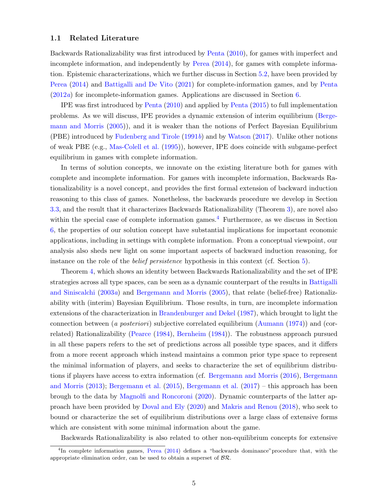#### 1.1 Related Literature

Backwards Rationalizability was first introduced by [Penta](#page-34-7) [\(2010\)](#page-34-7), for games with imperfect and incomplete information, and independently by [Perea](#page-35-2) [\(2014\)](#page-35-2), for games with complete information. Epistemic characterizations, which we further discuss in Section [5.2,](#page-19-0) have been provided by [Perea](#page-35-2) [\(2014\)](#page-35-2) and [Battigalli and De Vito](#page-32-1) [\(2021\)](#page-32-1) for complete-information games, and by [Penta](#page-34-1) [\(2012](#page-34-1)a) for incomplete-information games. Applications are discussed in Section [6.](#page-22-0)

IPE was first introduced by [Penta](#page-34-7) [\(2010\)](#page-34-7) and applied by [Penta](#page-34-4) [\(2015\)](#page-34-4) to full implementation problems. As we will discuss, IPE provides a dynamic extension of interim equilibrium [\(Berge](#page-32-2)[mann and Morris](#page-32-2) [\(2005\)](#page-32-2)), and it is weaker than the notions of Perfect Bayesian Equilibrium (PBE) introduced by [Fudenberg and Tirole](#page-33-3) [\(1991](#page-33-3)b) and by [Watson](#page-35-1) [\(2017\)](#page-35-1). Unlike other notions of weak PBE (e.g., [Mas-Colell et al.](#page-34-8) [\(1995\)](#page-34-8)), however, IPE does coincide with subgame-perfect equilibrium in games with complete information.

In terms of solution concepts, we innovate on the existing literature both for games with complete and incomplete information. For games with incomplete information, Backwards Rationalizability is a novel concept, and provides the first formal extension of backward induction reasoning to this class of games. Nonetheless, the backwards procedure we develop in Section [3.3,](#page-11-1) and the result that it characterizes Backwards Rationalizability (Theorem [3\)](#page-13-0), are novel also within the special case of complete information games.<sup>[4](#page-5-0)</sup> Furthermore, as we discuss in Section [6,](#page-22-0) the properties of our solution concept have substantial implications for important economic applications, including in settings with complete information. From a conceptual viewpoint, our analysis also sheds new light on some important aspects of backward induction reasoning, for instance on the role of the belief persistence hypothesis in this context (cf. Section [5\)](#page-17-1).

Theorem [4,](#page-17-0) which shows an identity between Backwards Rationalizability and the set of IPE strategies across all type spaces, can be seen as a dynamic counterpart of the results in [Battigalli](#page-32-3) [and Siniscalchi](#page-32-3) [\(2003](#page-32-3)a) and [Bergemann and Morris](#page-32-2) [\(2005\)](#page-32-2), that relate (belief-free) Rationalizability with (interim) Bayesian Equilibrium. Those results, in turn, are incomplete information extensions of the characterization in [Brandenburger and Dekel](#page-33-1) [\(1987\)](#page-33-1), which brought to light the connection between (a posteriori) subjective correlated equilibrium [\(Aumann](#page-32-4) [\(1974\)](#page-32-4)) and (correlated) Rationalizability [\(Pearce](#page-34-3) [\(1984\)](#page-34-3), [Bernheim](#page-33-4) [\(1984\)](#page-33-4)). The robustness approach pursued in all these papers refers to the set of predictions across all possible type spaces, and it differs from a more recent approach which instead maintains a common prior type space to represent the minimal information of players, and seeks to characterize the set of equilibrium distributions if players have access to extra information (cf. [Bergemann and Morris](#page-33-5) [\(2016\)](#page-33-5), [Bergemann](#page-33-6) [and Morris](#page-33-6) [\(2013\)](#page-33-6); [Bergemann et al.](#page-32-5) [\(2015\)](#page-32-5), [Bergemann et al.](#page-32-6) [\(2017\)](#page-32-6) – this approach has been brough to the data by [Magnolfi and Roncoroni](#page-34-9) [\(2020\)](#page-34-9). Dynamic counterparts of the latter approach have been provided by [Doval and Ely](#page-33-7) [\(2020\)](#page-33-7) and [Makris and Renou](#page-34-10) [\(2018\)](#page-34-10), who seek to bound or characterize the set of equilibrium distributions over a large class of extensive forms which are consistent with some minimal information about the game.

<span id="page-5-0"></span>Backwards Rationalizability is also related to other non-equilibrium concepts for extensive

<sup>&</sup>lt;sup>4</sup>In complete information games, [Perea](#page-35-2) [\(2014\)](#page-35-2) defines a "backwards dominance" procedure that, with the appropriate elimination order, can be used to obtain a superset of  $\beta \mathcal{R}$ .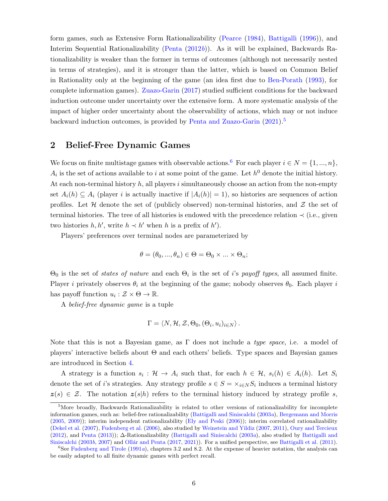form games, such as Extensive Form Rationalizability [\(Pearce](#page-34-3) [\(1984\)](#page-34-3), [Battigalli](#page-32-0) [\(1996\)](#page-32-0)), and Interim Sequential Rationalizability [\(Penta](#page-34-11) [\(2012](#page-34-11)b)). As it will be explained, Backwards Rationalizability is weaker than the former in terms of outcomes (although not necessarily nested in terms of strategies), and it is stronger than the latter, which is based on Common Belief in Rationality only at the beginning of the game (an idea first due to [Ben-Porath](#page-32-7) [\(1993\)](#page-32-7), for complete information games). [Zuazo-Garin](#page-35-3) [\(2017\)](#page-35-3) studied sufficient conditions for the backward induction outcome under uncertainty over the extensive form. A more systematic analysis of the impact of higher order uncertainty about the observability of actions, which may or not induce backward induction outcomes, is provided by [Penta and Zuazo-Garin](#page-34-12) [\(2021\)](#page-34-12).[5](#page-6-0)

## 2 Belief-Free Dynamic Games

We focus on finite multistage games with observable actions.<sup>[6](#page-6-1)</sup> For each player  $i \in N = \{1, ..., n\}$ ,  $A_i$  is the set of actions available to i at some point of the game. Let  $h^0$  denote the initial history. At each non-terminal history  $h$ , all players i simultaneously choose an action from the non-empty set  $A_i(h) \subseteq A_i$  (player i is actually inactive if  $|A_i(h)| = 1$ ), so histories are sequences of action profiles. Let  $H$  denote the set of (publicly observed) non-terminal histories, and  $Z$  the set of terminal histories. The tree of all histories is endowed with the precedence relation  $\prec$  (i.e., given two histories  $h, h'$ , write  $h \prec h'$  when h is a prefix of h').

Players' preferences over terminal nodes are parameterized by

$$
\theta = (\theta_0, ..., \theta_n) \in \Theta = \Theta_0 \times ... \times \Theta_n;
$$

 $\Theta_0$  is the set of *states of nature* and each  $\Theta_i$  is the set of *i*'s *payoff types*, all assumed finite. Player i privately observes  $\theta_i$  at the beginning of the game; nobody observes  $\theta_0$ . Each player i has payoff function  $u_i : \mathcal{Z} \times \Theta \to \mathbb{R}$ .

A belief-free dynamic game is a tuple

$$
\Gamma = \langle N, \mathcal{H}, \mathcal{Z}, \Theta_0, (\Theta_i, u_i)_{i \in N} \rangle.
$$

Note that this is not a Bayesian game, as  $\Gamma$  does not include a *type space*, i.e. a model of players' interactive beliefs about Θ and each others' beliefs. Type spaces and Bayesian games are introduced in Section [4.](#page-14-0)

A strategy is a function  $s_i: \mathcal{H} \to A_i$  such that, for each  $h \in \mathcal{H}$ ,  $s_i(h) \in A_i(h)$ . Let  $S_i$ denote the set of i's strategies. Any strategy profile  $s \in S = \times_{i \in N} S_i$  induces a terminal history  $z(s) \in \mathcal{Z}$ . The notation  $z(s|h)$  refers to the terminal history induced by strategy profile s,

<span id="page-6-0"></span><sup>&</sup>lt;sup>5</sup>More broadly, Backwards Rationalizability is related to other versions of rationalizability for incomplete information games, such as: belief-free rationalizability [\(Battigalli and Siniscalchi](#page-32-3) [\(2003](#page-32-3)a), [Bergemann and Morris](#page-32-2) [\(2005,](#page-32-2) [2009\)](#page-33-8)); interim independent rationalizability [\(Ely and Peski](#page-33-9) [\(2006\)](#page-33-9)); interim correlated rationalizability [\(Dekel et al.](#page-33-10) [\(2007\)](#page-33-10), [Fudenberg et al.](#page-33-11) [\(2006\)](#page-33-11), also studied by [Weinstein and Yildiz](#page-35-4) [\(2007,](#page-35-4) [2011\)](#page-35-5), [Oury and Tercieux](#page-34-13) [\(2012\)](#page-34-13), and [Penta](#page-34-14) [\(2013\)](#page-34-14)); ∆-Rationalizability [\(Battigalli and Siniscalchi](#page-32-3) [\(2003](#page-32-3)a), also studied by [Battigalli and](#page-32-8) [Siniscalchi](#page-32-8) [\(2003](#page-32-8)b, [2007\)](#page-32-9) and Ollár and Penta [\(2017,](#page-34-15) [2021\)](#page-34-16)). For a unified perspective, see [Battigalli et al.](#page-32-10) [\(2011\)](#page-32-10).

<span id="page-6-1"></span><sup>&</sup>lt;sup>6</sup>See [Fudenberg and Tirole](#page-33-12) [\(1991](#page-33-12)a), chapters 3.2 and 8.2. At the expense of heavier notation, the analysis can be easily adapted to all finite dynamic games with perfect recall.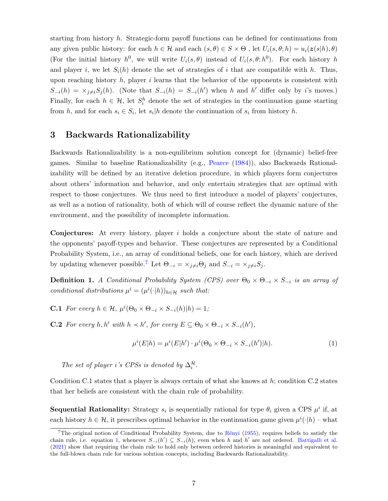starting from history h. Strategic-form payoff functions can be defined for continuations from any given public history: for each  $h \in \mathcal{H}$  and each  $(s, \theta) \in S \times \Theta$ , let  $U_i(s, \theta; h) = u_i(z(s|h), \theta)$ (For the initial history  $h^0$ , we will write  $U_i(s, \theta)$  instead of  $U_i(s, \theta; h^0)$ . For each history h and player i, we let  $S_i(h)$  denote the set of strategies of i that are compatible with h. Thus, upon reaching history  $h$ , player i learns that the behavior of the opponents is consistent with  $S_{-i}(h) = \times_{j \neq i} S_j(h)$ . (Note that  $S_{-i}(h) = S_{-i}(h')$  when h and h' differ only by i's moves.) Finally, for each  $h \in \mathcal{H}$ , let  $S_i^h$  denote the set of strategies in the continuation game starting from h, and for each  $s_i \in S_i$ , let  $s_i | h$  denote the continuation of  $s_i$  from history h.

## 3 Backwards Rationalizability

Backwards Rationalizability is a non-equilibrium solution concept for (dynamic) belief-free games. Similar to baseline Rationalizability (e.g., [Pearce](#page-34-3) [\(1984\)](#page-34-3)), also Backwards Rationalizability will be defined by an iterative deletion procedure, in which players form conjectures about others' information and behavior, and only entertain strategies that are optimal with respect to those conjectures. We thus need to first introduce a model of players' conjectures, as well as a notion of rationality, both of which will of course reflect the dynamic nature of the environment, and the possibility of incomplete information.

Conjectures: At every history, player i holds a conjecture about the state of nature and the opponents' payoff-types and behavior. These conjectures are represented by a Conditional Probability System, i.e., an array of conditional beliefs, one for each history, which are derived by updating whenever possible.<sup>[7](#page-7-0)</sup> Let  $\Theta_{-i} = \times_{j \neq i} \Theta_j$  and  $S_{-i} = \times_{j \neq i} S_j$ .

**Definition 1.** A Conditional Probability System (CPS) over  $\Theta_0 \times \Theta_{-i} \times S_{-i}$  is an array of conditional distributions  $\mu^i = (\mu^i(\cdot|h))_{h \in \mathcal{H}}$  such that:

**C.1** For every  $h \in \mathcal{H}$ ,  $\mu^{i}(\Theta_0 \times \Theta_{-i} \times S_{-i}(h)|h) = 1$ ;

**C.2** For every  $h, h'$  with  $h \prec h'$ , for every  $E \subseteq \Theta_0 \times \Theta_{-i} \times S_{-i}(h')$ ,

<span id="page-7-1"></span>
$$
\mu^{i}(E|h) = \mu^{i}(E|h') \cdot \mu^{i}(\Theta_0 \times \Theta_{-i} \times S_{-i}(h')|h). \tag{1}
$$

The set of player i's CPSs is denoted by  $\Delta_i^{\mathcal{H}}$ .

Condition C.1 states that a player is always certain of what she knows at h; condition C.2 states that her beliefs are consistent with the chain rule of probability.

**Sequential Rationality:** Strategy  $s_i$  is sequentially rational for type  $\theta_i$  given a CPS  $\mu^i$  if, at each history  $h \in \mathcal{H}$ , it prescribes optimal behavior in the continuation game given  $\mu^{i}(\cdot|h)$  – what

<span id="page-7-0"></span><sup>&</sup>lt;sup>7</sup>The original notion of Conditional Probability System, due to Rényi [\(1955\)](#page-35-6), requires beliefs to satisfy the chain rule, i.e. equation [1,](#page-7-1) whenever  $S_{-i}(h) \subseteq S_{-i}(h)$ , even when h and h' are not ordered. [Battigalli et al.](#page-32-11) [\(2021\)](#page-32-11) show that requiring the chain rule to hold only between ordered histories is meaningful and equivalent to the full-blown chain rule for various solution concepts, including Backwards Rationalizability.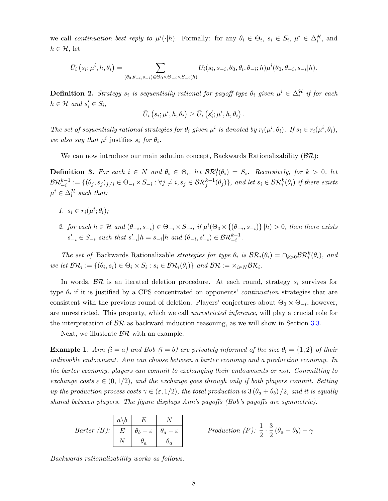we call continuation best reply to  $\mu^{i}(\cdot|h)$ . Formally: for any  $\theta_i \in \Theta_i$ ,  $s_i \in S_i$ ,  $\mu^{i} \in \Delta_i^{\mathcal{H}}$ , and  $h \in \mathcal{H}$ , let

$$
\bar{U}_i(s_i;\mu^i,h,\theta_i)=\sum_{(\theta_0,\theta_{-i},s_{-i})\in\Theta_0\times\Theta_{-i}\times S_{-i}(h)}U_i(s_i,s_{-i},\theta_0,\theta_i,\theta_{-i};h)\mu^i(\theta_0,\theta_{-i},s_{-i}|h).
$$

**Definition 2.** Strategy  $s_i$  is sequentially rational for payoff-type  $\theta_i$  given  $\mu^i \in \Delta_i^{\mathcal{H}}$  if for each  $h \in \mathcal{H}$  and  $s_i' \in S_i$ ,

$$
\bar{U}_i(s_i;\mu^i,h,\theta_i) \geq \bar{U}_i(s_i';\mu^i,h,\theta_i) .
$$

The set of sequentially rational strategies for  $\theta_i$  given  $\mu^i$  is denoted by  $r_i(\mu^i, \theta_i)$ . If  $s_i \in r_i(\mu^i, \theta_i)$ , we also say that  $\mu^i$  justifies  $s_i$  for  $\theta_i$ .

We can now introduce our main solution concept, Backwards Rationalizability  $(\mathcal{BR})$ :

**Definition 3.** For each  $i \in N$  and  $\theta_i \in \Theta_i$ , let  $\mathcal{BR}_i^0(\theta_i) = S_i$ . Recursively, for  $k > 0$ , let  $\mathcal{BR}^{k-1}_{-i} := \{(\theta_j, s_j)_{j\neq i} \in \Theta_{-i} \times S_{-i} : \forall j \neq i, s_j \in \mathcal{BR}^{k-1}_j(\theta_j)\}\text{, and let } s_i \in \mathcal{BR}^k_i(\theta_i) \text{ if there exists } i,j \in \mathcal{BR}^{k-1}_i(\theta_j)\}$  $\mu^i \in \Delta_i^{\mathcal{H}}$  such that:

- 1.  $s_i \in r_i(\mu^i; \theta_i);$
- 2. for each  $h \in \mathcal{H}$  and  $(\theta_{-i}, s_{-i}) \in \Theta_{-i} \times S_{-i}$ , if  $\mu^i(\Theta_0 \times {\{\theta_{-i}, s_{-i}\}\mid h) > 0$ , then there exists  $s'_{-i} \in S_{-i}$  such that  $s'_{-i}|h = s_{-i}|h$  and  $(\theta_{-i}, s'_{-i}) \in \mathcal{BR}^{k-1}_{-i}$ .

The set of Backwards Rationalizable strategies for type  $\theta_i$  is  $\mathcal{BR}_i(\theta_i) = \bigcap_{k>0} \mathcal{BR}_i^k(\theta_i)$ , and we let  $\mathcal{BR}_i := \{(\theta_i, s_i) \in \Theta_i \times S_i : s_i \in \mathcal{BR}_i(\theta_i)\}\$ and  $\mathcal{BR} := \times_{i \in N} \mathcal{BR}_i$ .

In words,  $\mathcal{BR}$  is an iterated deletion procedure. At each round, strategy  $s_i$  survives for type  $\theta_i$  if it is justified by a CPS concentrated on opponents' *continuation* strategies that are consistent with the previous round of deletion. Players' conjectures about  $\Theta_0 \times \Theta_{-i}$ , however, are unrestricted. This property, which we call unrestricted inference, will play a crucial role for the interpretation of  $\beta \mathcal{R}$  as backward induction reasoning, as we will show in Section [3.3.](#page-11-1)

Next, we illustrate  $\beta \mathcal{R}$  with an example.

<span id="page-8-0"></span>**Example 1.** Ann  $(i = a)$  and Bob  $(i = b)$  are privately informed of the size  $\theta_i = \{1, 2\}$  of their indivisible endowment. Ann can choose between a barter economy and a production economy. In the barter economy, players can commit to exchanging their endowments or not. Committing to exchange costs  $\varepsilon \in (0,1/2)$ , and the exchange goes through only if both players commit. Setting up the production process costs  $\gamma \in (\epsilon, 1/2)$ , the total production is  $3(\theta_a + \theta_b)/2$ , and it is equally shared between players. The figure displays Ann's payoffs (Bob's payoffs are symmetric).

| <i>Barter (B)</i> : $E \mid \theta_b - \varepsilon \mid \theta_a - \varepsilon$ | $a \backslash b \quad E$ |  | Production (P): $\frac{1}{2} \cdot \frac{3}{2} (\theta_a + \theta_b) - \gamma$ |
|---------------------------------------------------------------------------------|--------------------------|--|--------------------------------------------------------------------------------|
|                                                                                 |                          |  |                                                                                |
|                                                                                 | $\theta_a$               |  |                                                                                |

Backwards rationalizability works as follows.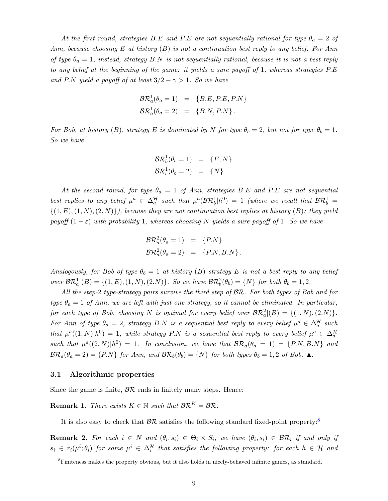At the first round, strategies B.E and P.E are not sequentially rational for type  $\theta_a = 2$  of Ann, because choosing E at history  $(B)$  is not a continuation best reply to any belief. For Ann of type  $\theta_a = 1$ , instead, strategy B.N is not sequentially rational, because it is not a best reply to any belief at the beginning of the game: it yields a sure payoff of 1, whereas strategies P.E and P.N yield a payoff of at least  $3/2 - \gamma > 1$ . So we have

$$
\mathcal{BR}_a^1(\theta_a = 1) = \{B.E, P.E, P.N\}
$$
  

$$
\mathcal{BR}_a^1(\theta_a = 2) = \{B.N, P.N\}.
$$

For Bob, at history (B), strategy E is dominated by N for type  $\theta_b = 2$ , but not for type  $\theta_b = 1$ . So we have

$$
\mathcal{BR}_b^1(\theta_b = 1) = \{E, N\}
$$
  

$$
\mathcal{BR}_b^1(\theta_b = 2) = \{N\}.
$$

At the second round, for type  $\theta_a = 1$  of Ann, strategies B.E and P.E are not sequential best replies to any belief  $\mu^a \in \Delta_a^{\mathcal{H}}$  such that  $\mu^a(\mathcal{BR}_b^1|h^0) = 1$  (where we recall that  $\mathcal{BR}_b^1 =$  $\{(1, E), (1, N), (2, N)\}\)$ , because they are not continuation best replies at history (B): they yield payoff  $(1 - \varepsilon)$  with probability 1, whereas choosing N yields a sure payoff of 1. So we have

$$
\mathcal{BR}_a^2(\theta_a = 1) = \{P.N\}
$$
  

$$
\mathcal{BR}_a^2(\theta_a = 2) = \{P.N, B.N\}.
$$

Analogously, for Bob of type  $\theta_b = 1$  at history (B) strategy E is not a best reply to any belief over  $\mathcal{BR}_a^1((B) = \{(1, E), (1, N), (2. N)\}\)$ . So we have  $\mathcal{BR}_b^2(\theta_b) = \{N\}$  for both  $\theta_b = 1, 2$ .

All the step-2 type-strategy pairs survive the third step of BR. For both types of Bob and for type  $\theta_a = 1$  of Ann, we are left with just one strategy, so it cannot be eliminated. In particular, for each type of Bob, choosing N is optimal for every belief over  $\mathcal{BR}_a^2|(B) = \{(1,N), (2.N)\}.$ For Ann of type  $\theta_a = 2$ , strategy B.N is a sequential best reply to every belief  $\mu^a \in \Delta_a^{\mathcal{H}}$  such that  $\mu^a((1,N)|h^0) = 1$ , while strategy P.N is a sequential best reply to every belief  $\mu^a \in \Delta_a^{\mathcal{H}}$ such that  $\mu^a((2,N)|h^0) = 1$ . In conclusion, we have that  $\mathcal{BR}_a(\theta_a = 1) = \{P.N, B.N\}$  and  $\mathcal{BR}_a(\theta_a = 2) = \{P.N\}$  for Ann, and  $\mathcal{BR}_b(\theta_b) = \{N\}$  for both types  $\theta_b = 1, 2$  of Bob.  $\blacktriangle$ .

#### 3.1 Algorithmic properties

Since the game is finite,  $\beta \mathcal{R}$  ends in finitely many steps. Hence:

**Remark 1.** There exists  $K \in \mathbb{N}$  such that  $\mathcal{BR}^K = \mathcal{BR}$ .

It is also easy to check that  $\beta \mathcal{R}$  satisfies the following standard fixed-point property:<sup>[8](#page-9-0)</sup>

<span id="page-9-1"></span>**Remark 2.** For each  $i \in N$  and  $(\theta_i, s_i) \in \Theta_i \times S_i$ , we have  $(\theta_i, s_i) \in \mathcal{BR}_i$  if and only if  $s_i \in r_i(\mu^i; \theta_i)$  for some  $\mu^i \in \Delta_i^{\mathcal{H}}$  that satisfies the following property: for each  $h \in \mathcal{H}$  and

<span id="page-9-0"></span><sup>8</sup>Finiteness makes the property obvious, but it also holds in nicely-behaved infinite games, as standard.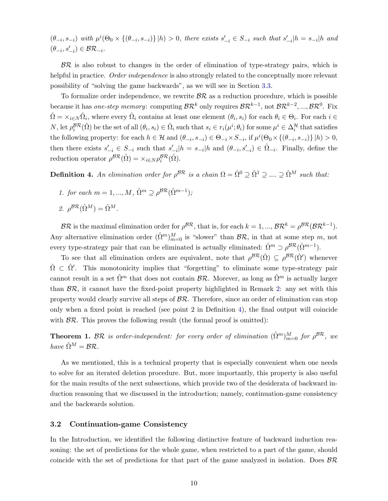$(\theta_{-i}, s_{-i})$  with  $\mu^i(\Theta_0 \times {\{\theta_{-i}, s_{-i}\}\}\,|\,h) > 0$ , there exists  $s'_{-i} \in S_{-i}$  such that  $s'_{-i}|h = s_{-i}|h$  and  $(\theta_{-i}, s'_{-i}) \in \mathcal{BR}_{-i}.$ 

 $BR$  is also robust to changes in the order of elimination of type-strategy pairs, which is helpful in practice. *Order independence* is also strongly related to the conceptually more relevant possibility of "solving the game backwards", as we will see in Section [3.3.](#page-11-1)

To formalize order independence, we rewrite  $\mathcal{BR}$  as a reduction procedure, which is possible because it has *one-step memory*: computing  $\mathcal{BR}^k$  only requires  $\mathcal{BR}^{k-1}$ , not  $\mathcal{BR}^{k-2}$ , ...,  $\mathcal{BR}^0$ . Fix  $\hat{\Omega} = \times_{i \in N} \hat{\Omega}_i$ , where every  $\hat{\Omega}_i$  contains at least one element  $(\theta_i, s_i)$  for each  $\theta_i \in \Theta_i$ . For each  $i \in$  $N$ , let  $\rho_i^{\mathcal{BR}}(\hat{\Omega})$  be the set of all  $(\theta_i, s_i) \in \hat{\Omega}_i$  such that  $s_i \in r_i(\mu^i; \theta_i)$  for some  $\mu^i \in \Delta_i^{\mathcal{H}}$  that satisfies the following property: for each  $h \in \mathcal{H}$  and  $(\theta_{-i}, s_{-i}) \in \Theta_{-i} \times S_{-i}$ , if  $\mu^i(\Theta_0 \times {\{\theta_{-i}, s_{-i}\}} | h) > 0$ , then there exists  $s'_{-i} \in S_{-i}$  such that  $s'_{-i}$ ,  $h = s_{-i}$ ,  $h$  and  $(\theta_{-i}, s'_{-i}) \in \hat{\Omega}_{-i}$ . Finally, define the reduction operator  $\rho^{B\mathcal{R}}(\hat{\Omega}) = \times_{i \in N} \rho_i^{B\mathcal{R}}(\hat{\Omega}).$ 

<span id="page-10-1"></span>**Definition 4.** An elimination order for  $\rho^{BR}$  is a chain  $\Omega = \hat{\Omega}^0 \supseteq \hat{\Omega}^1 \supseteq \ldots \supseteq \hat{\Omega}^M$  such that:

- 1. for each  $m = 1, ..., M$ ,  $\hat{\Omega}^m \supseteq \rho^{\mathcal{BR}}(\hat{\Omega}^{m-1});$
- 2.  $\rho^{BR}(\hat{\Omega}^M) = \hat{\Omega}^M$ .

 $\mathcal{BR}$  is the maximal elimination order for  $\rho^{\mathcal{BR}}$ , that is, for each  $k = 1, ..., \mathcal{BR}^k = \rho^{\mathcal{BR}}(\mathcal{BR}^{k-1})$ . Any alternative elimination order  $(\hat{\Omega}^m)_{m=0}^M$  is "slower" than  $\mathcal{BR}$ , in that at some step m, not every type-strategy pair that can be eliminated is actually eliminated:  $\hat{\Omega}^m \supset \rho^{\mathcal{BR}}(\hat{\Omega}^{m-1})$ .

To see that all elimination orders are equivalent, note that  $\rho^{BR}(\hat{\Omega}) \subseteq \rho^{BR}(\hat{\Omega}')$  whenever  $\hat{\Omega} \subset \hat{\Omega}'$ . This monotonicity implies that "forgetting" to eliminate some type-strategy pair cannot result in a set  $\hat{\Omega}^m$  that does not contain  $\mathcal{BR}$ . Morever, as long as  $\hat{\Omega}^m$  is actually larger than  $\mathcal{BR}$ , it cannot have the fixed-point property highlighted in Remark [2:](#page-9-1) any set with this property would clearly survive all steps of  $\mathcal{BR}$ . Therefore, since an order of elimination can stop only when a fixed point is reached (see point  $2$  in Definition  $4$ ), the final output will coincide with  $\mathcal{BR}$ . This proves the following result (the formal proof is omitted):

<span id="page-10-0"></span>**Theorem 1.** BR is order-independent: for every order of elimination  $(\hat{\Omega}^m)_{m=0}^M$  for  $\rho^{BR}$ , we have  $\hat{\Omega}^{M} = \mathcal{BR}$ .

As we mentioned, this is a technical property that is especially convenient when one needs to solve for an iterated deletion procedure. But, more importantly, this property is also useful for the main results of the next subsections, which provide two of the desiderata of backward induction reasoning that we discussed in the introduction; namely, continuation-game consistency and the backwards solution.

#### 3.2 Continuation-game Consistency

In the Introduction, we identified the following distinctive feature of backward induction reasoning: the set of predictions for the whole game, when restricted to a part of the game, should coincide with the set of predictions for that part of the game analyzed in isolation. Does  $\beta \mathcal{R}$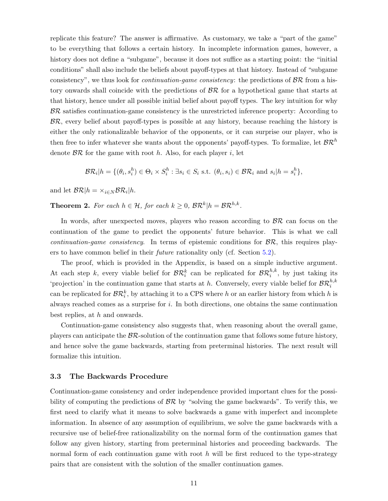replicate this feature? The answer is affirmative. As customary, we take a "part of the game" to be everything that follows a certain history. In incomplete information games, however, a history does not define a "subgame", because it does not suffice as a starting point: the "initial" conditions" shall also include the beliefs about payoff-types at that history. Instead of "subgame consistency", we thus look for *continuation-game consistency*: the predictions of  $\beta \mathcal{R}$  from a history onwards shall coincide with the predictions of  $\beta \mathcal{R}$  for a hypothetical game that starts at that history, hence under all possible initial belief about payoff types. The key intuition for why  $BR$  satisfies continuation-game consistency is the unrestricted inference property: According to  $BR$ , every belief about payoff-types is possible at any history, because reaching the history is either the only rationalizable behavior of the opponents, or it can surprise our player, who is then free to infer whatever she wants about the opponents' payoff-types. To formalize, let  $\mathcal{BR}^h$ denote  $\beta \mathcal{R}$  for the game with root h. Also, for each player i, let

$$
\mathcal{BR}_i|h = \{(\theta_i, s_i^h) \in \Theta_i \times S_i^h : \exists s_i \in S_i \text{ s.t. } (\theta_i, s_i) \in \mathcal{BR}_i \text{ and } s_i|h = s_i^h\},\
$$

and let  $\mathcal{BR}|h = \times_{i \in N} \mathcal{BR}_i|h$ .

<span id="page-11-0"></span>**Theorem 2.** For each  $h \in \mathcal{H}$ , for each  $k \geq 0$ ,  $\mathcal{BR}^k|h = \mathcal{BR}^{h,k}$ .

In words, after unexpected moves, players who reason according to  $\beta \mathcal{R}$  can focus on the continuation of the game to predict the opponents' future behavior. This is what we call *continuation-game consistency.* In terms of epistemic conditions for  $\mathcal{BR}$ , this requires players to have common belief in their future rationality only (cf. Section [5.2\)](#page-19-0).

The proof, which is provided in the Appendix, is based on a simple inductive argument. At each step k, every viable belief for  $\mathcal{BR}_i^k$  can be replicated for  $\mathcal{BR}_i^{h,k}$ , by just taking its 'projection' in the continuation game that starts at h. Conversely, every viable belief for  $\mathcal{BR}_i^{h,k}$ can be replicated for  $\mathcal{BR}_i^k$ , by attaching it to a CPS where h or an earlier history from which h is always reached comes as a surprise for i. In both directions, one obtains the same continuation best replies, at h and onwards.

Continuation-game consistency also suggests that, when reasoning about the overall game, players can anticipate the  $\beta \mathcal{R}$ -solution of the continuation game that follows some future history, and hence solve the game backwards, starting from preterminal histories. The next result will formalize this intuition.

#### <span id="page-11-1"></span>3.3 The Backwards Procedure

Continuation-game consistency and order independence provided important clues for the possibility of computing the predictions of  $\mathcal{BR}$  by "solving the game backwards". To verify this, we first need to clarify what it means to solve backwards a game with imperfect and incomplete information. In absence of any assumption of equilibrium, we solve the game backwards with a recursive use of belief-free rationalizability on the normal form of the continuation games that follow any given history, starting from preterminal histories and proceeding backwards. The normal form of each continuation game with root  $h$  will be first reduced to the type-strategy pairs that are consistent with the solution of the smaller continuation games.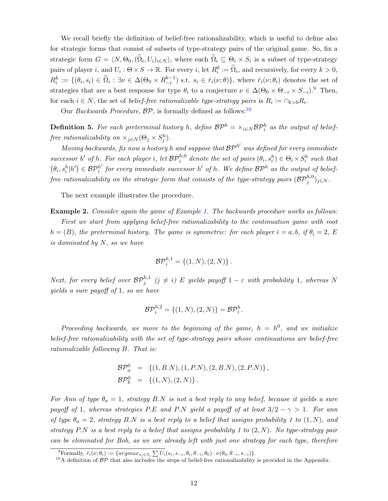We recall briefly the definition of belief-free rationalizability, which is useful to define also for strategic forms that consist of subsets of type-strategy pairs of the original game. So, fix a strategic form  $G = \langle N, \Theta_0, (\Omega_i, U_i)_{i \in N} \rangle$ , where each  $\Omega_i \subseteq \Theta_i \times S_i$  is a subset of type-strategy pairs of player i, and  $U_i: \Theta \times S \to \mathbb{R}$ . For every i, let  $R_i^0 := \widetilde{\Omega}_i$ , and recursively, for every  $k > 0$ ,  $R_i^k := \{(\theta_i, s_i) \in \widetilde{\Omega}_i : \exists \nu \in \Delta(\Theta_0 \times R_{-i}^{k-1}) \text{ s.t. } s_i \in \hat{r}_i(\nu; \theta)\}\text{, where } \hat{r}_i(\nu; \theta_i) \text{ denotes the set of }$ strategies that are a best response for type  $\theta_i$  to a conjecture  $\nu \in \Delta(\Theta_0 \times \Theta_{-i} \times S_{-i})$ .<sup>[9](#page-12-0)</sup> Then, for each  $i \in N$ , the set of *belief-free rationalizable type-strategy pairs* is  $R_i := \bigcap_{k>0} R_i$ .

Our *Backwards Procedure*,  $BP$ , is formally defined as follows:<sup>[10](#page-12-1)</sup>

**Definition 5.** For each preterminal history h, define  $BP^h = \times_{i \in N} BP_i^h$  as the output of belieffree rationalizability on  $\times_{j\in N}(\Theta_j \times S_j^h)$ .

Moving backwards, fix now a history h and suppose that  $\mathcal{BP}^{h'}$  was defined for every immediate successor h' of h. For each player i, let  $\mathcal{BP}_i^{h,0}$  denote the set of pairs  $(\theta_i, s_i^h) \in \Theta_i \times S_i^h$  such that  $(\theta_i, s_i^h | h') \in \mathcal{BP}_i^{h'}$  $h'_{i}$  for every immediate successor h' of h. We define  $\mathcal{BP}^{h}$  as the output of belief- $\emph{free rationalizability on the strategic form that consists of the type-strategy pairs } (\mathcal{BP}_j^{h,0})_{j\in N}.$ 

The next example illustrates the procedure.

Example 2. Consider again the game of Example [1.](#page-8-0) The backwards procedure works as follows:

First we start from applying belief-free rationalizability to the continuation game with root  $h = (B)$ , the preterminal history. The game is symmetric: for each player  $i = a, b$ , if  $\theta_i = 2$ , E is dominated by N, so we have

$$
{\cal{BP}}_i^{h,1} = \{(1,N),(2,N)\}.
$$

Next, for every belief over  $\mathcal{BP}_j^{h,1}$  ( $j \neq i$ ) E yields payoff  $1-\varepsilon$  with probability 1, whereas N yields a sure payoff of 1, so we have

$$
\mathcal{BP}_i^{h,2} = \{(1,N), (2,N)\} = \mathcal{BP}_i^h.
$$

Proceeding backwards, we move to the beginning of the game,  $h = h^0$ , and we initialize belief-free rationalizability with the set of type-strategy pairs whose continuations are belief-free rationalizable following B. That is:

$$
\mathcal{BP}_a^0 = \{ (1, B.N), (1, P.N), (2, B.N), (2, P.N) \},\
$$
  

$$
\mathcal{BP}_b^0 = \{ (1, N), (2, N) \}.
$$

For Ann of type  $\theta_a = 1$ , strategy B.N is not a best reply to any belief, because it yields a sure payoff of 1, whereas strategies P.E and P.N yield a payoff of at least  $3/2 - \gamma > 1$ . For ann of type  $\theta_a = 2$ , strategy B.N is a best reply to a belief that assigns probability 1 to  $(1, N)$ , and strategy P.N is a best reply to a belief that assigns probability 1 to  $(2, N)$ . No type-strategy pair can be eliminated for Bob, as we are already left with just one strategy for each type, therefore

<span id="page-12-0"></span><sup>&</sup>lt;sup>9</sup>Formally,  $\hat{r}_i(\nu;\theta_i) := \{argmax_{s_i \in S_i} \sum U_i(s_i, s_{-i}, \theta_i, \theta_{-i}, \theta_0) \cdot \nu(\theta_0, \theta_{-i}, s_{-i})\}.$ 

<span id="page-12-1"></span><sup>&</sup>lt;sup>10</sup>A definition of  $BP$  that also includes the steps of belief-free rationalizability is provided in the Appendix.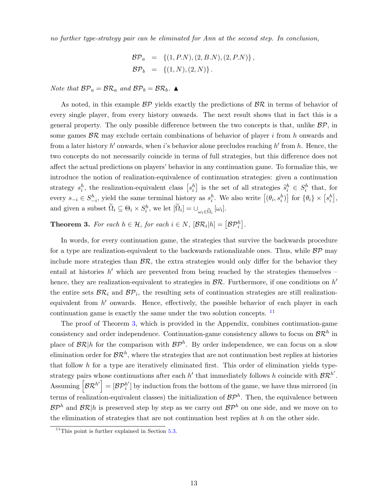no further type-strategy pair can be eliminated for Ann at the second step. In conclusion,

$$
\mathcal{BP}_a = \{ (1, P.N), (2, B.N), (2, P.N) \}, \n\mathcal{BP}_b = \{ (1, N), (2, N) \}.
$$

Note that  $BP_a = BR_a$  and  $BP_b = BR_b$ .

As noted, in this example  $BP$  yields exactly the predictions of  $BR$  in terms of behavior of every single player, from every history onwards. The next result shows that in fact this is a general property. The only possible difference between the two concepts is that, unlike  $\mathcal{BP}$ , in some games  $\beta \mathcal{R}$  may exclude certain combinations of behavior of player i from h onwards and from a later history  $h'$  onwards, when i's behavior alone precludes reaching  $h'$  from  $h$ . Hence, the two concepts do not necessarily coincide in terms of full strategies, but this difference does not affect the actual predictions on players' behavior in any continuation game. To formalize this, we introduce the notion of realization-equivalence of continuation strategies: given a continuation strategy  $s_i^h$ , the realization-equivalent class  $[s_i^h]$  is the set of all strategies  $\tilde{s}_i^h \in S_i^h$  that, for every  $s_{-i} \in S_{-i}^h$ , yield the same terminal history as  $s_i^h$ . We also write  $[(\theta_i, s_i^h)]$  for  $\{\theta_i\} \times [s_i^h]$ , and given a subset  $\widetilde{\Omega}_i \subseteq \Theta_i \times S_i^h$ , we let  $[\widetilde{\Omega}_i] = \bigcup_{\omega_i \in \widetilde{\Omega}_i} [\omega_i]$ .

<span id="page-13-0"></span>**Theorem 3.** For each  $h \in \mathcal{H}$ , for each  $i \in N$ ,  $[\mathcal{BR}_i|h] = [\mathcal{BP}_i^h]$ .

In words, for every continuation game, the strategies that survive the backwards procedure for a type are realization-equivalent to the backwards rationalizable ones. Thus, while  $BP$  may include more strategies than  $\mathcal{BR}$ , the extra strategies would only differ for the behavior they entail at histories  $h'$  which are prevented from being reached by the strategies themselves – hence, they are realization-equivalent to strategies in  $\mathcal{BR}$ . Furthermore, if one conditions on  $h'$ the entire sets  $\mathcal{BR}_i$  and  $\mathcal{BP}_i$ , the resulting sets of continuation strategies are still realizationequivalent from h' onwards. Hence, effectively, the possible behavior of each player in each continuation game is exactly the same under the two solution concepts. <sup>[11](#page-13-1)</sup>

The proof of Theorem [3,](#page-13-0) which is provided in the Appendix, combines continuation-game consistency and order independence. Continuation-game consistency allows to focus on  $\mathcal{BR}^h$  in place of  $\mathcal{BR} | h$  for the comparison with  $\mathcal{BP}^h$ . By order independence, we can focus on a slow elimination order for  $\mathcal{BR}^h$ , where the strategies that are not continuation best replies at histories that follow  $h$  for a type are iteratively eliminated first. This order of elimination yields typestrategy pairs whose continuations after each  $h'$  that immediately follows h coincide with  $\mathcal{BR}^{h'}$ . Assuming  $\left[ \mathcal{BR}^{h'}\right]=\left[ \mathcal{BP}_{i}^{h'}\right]$  $i'$ ] by induction from the bottom of the game, we have thus mirrored (in terms of realization-equivalent classes) the initialization of  $\mathcal{BP}^h$ . Then, the equivalence between  $\mathcal{BP}^h$  and  $\mathcal{BR}|h$  is preserved step by step as we carry out  $\mathcal{BP}^h$  on one side, and we move on to the elimination of strategies that are not continuation best replies at  $h$  on the other side.

<span id="page-13-1"></span> $11$ This point is further explained in Section [5.3.](#page-19-1)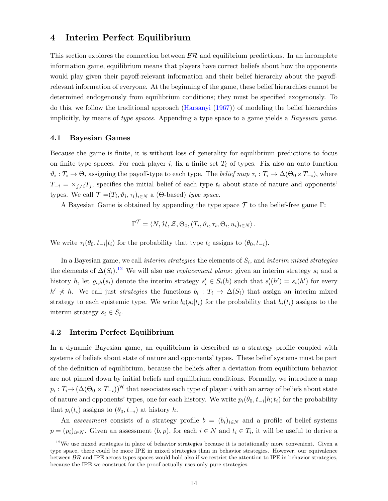## <span id="page-14-0"></span>4 Interim Perfect Equilibrium

This section explores the connection between  $\beta \mathcal{R}$  and equilibrium predictions. In an incomplete information game, equilibrium means that players have correct beliefs about how the opponents would play given their payoff-relevant information and their belief hierarchy about the payoffrelevant information of everyone. At the beginning of the game, these belief hierarchies cannot be determined endogenously from equilibrium conditions; they must be specified exogenously. To do this, we follow the traditional approach [\(Harsanyi](#page-33-13) [\(1967\)](#page-33-13)) of modeling the belief hierarchies implicitly, by means of type spaces. Appending a type space to a game yields a *Bayesian game*.

#### 4.1 Bayesian Games

Because the game is finite, it is without loss of generality for equilibrium predictions to focus on finite type spaces. For each player i, fix a finite set  $T_i$  of types. Fix also an onto function  $\vartheta_i: T_i \to \Theta_i$  assigning the payoff-type to each type. The *belief map*  $\tau_i: T_i \to \Delta(\Theta_0 \times T_{-i})$ , where  $T_{-i} = \times_{j \neq i} T_j$ , specifies the initial belief of each type  $t_i$  about state of nature and opponents' types. We call  $\mathcal{T} = (T_i, \vartheta_i, \tau_i)_{i \in N}$  a ( $\Theta$ -based) type space.

A Bayesian Game is obtained by appending the type space  $\mathcal T$  to the belief-free game Γ:

$$
\Gamma^{\mathcal{T}} = \langle N, \mathcal{H}, \mathcal{Z}, \Theta_0, (T_i, \vartheta_i, \tau_i, \Theta_i, u_i)_{i \in N} \rangle.
$$

We write  $\tau_i(\theta_0, t_{-i}|t_i)$  for the probability that type  $t_i$  assigns to  $(\theta_0, t_{-i})$ .

In a Bayesian game, we call *interim strategies* the elements of  $S_i$ , and *interim mixed strategies* the elements of  $\Delta(S_i)$ .<sup>[12](#page-14-1)</sup> We will also use *replacement plans*: given an interim strategy  $s_i$  and a history h, let  $\varrho_{i,h}(s_i)$  denote the interim strategy  $s'_i \in S_i(h)$  such that  $s'_i(h') = s_i(h')$  for every  $h' \nless h$ . We call just *strategies* the functions  $b_i : T_i \to \Delta(S_i)$  that assign an interim mixed strategy to each epistemic type. We write  $b_i(s_i|t_i)$  for the probability that  $b_i(t_i)$  assigns to the interim strategy  $s_i \in S_i$ .

#### 4.2 Interim Perfect Equilibrium

In a dynamic Bayesian game, an equilibrium is described as a strategy profile coupled with systems of beliefs about state of nature and opponents' types. These belief systems must be part of the definition of equilibrium, because the beliefs after a deviation from equilibrium behavior are not pinned down by initial beliefs and equilibrium conditions. Formally, we introduce a map  $p_i: T_i \to (\Delta(\Theta_0 \times T_{-i}))^{\mathcal{H}}$  that associates each type of player i with an array of beliefs about state of nature and opponents' types, one for each history. We write  $p_i(\theta_0, t_{-i}|h; t_i)$  for the probability that  $p_i(t_i)$  assigns to  $(\theta_0, t_{-i})$  at history h.

An assessment consists of a strategy profile  $b = (b_i)_{i \in N}$  and a profile of belief systems  $p = (p_i)_{i \in N}$ . Given an assessment  $(b, p)$ , for each  $i \in N$  and  $t_i \in T_i$ , it will be useful to derive a

<span id="page-14-1"></span><sup>&</sup>lt;sup>12</sup>We use mixed strategies in place of behavior strategies because it is notationally more convenient. Given a type space, there could be more IPE in mixed strategies than in behavior strategies. However, our equivalence between  $\beta \mathcal{R}$  and IPE across types spaces would hold also if we restrict the attention to IPE in behavior strategies, because the IPE we construct for the proof actually uses only pure strategies.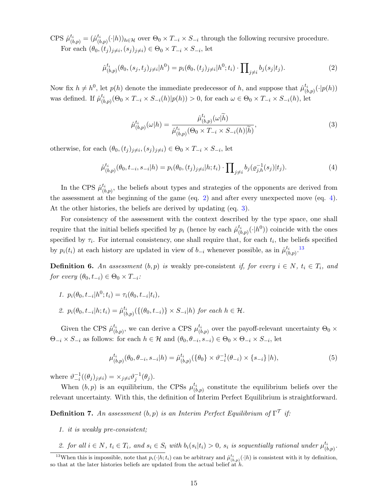CPS  $\hat{\mu}_{(b,p)}^{t_i} = (\hat{\mu}_{(b)}^{t_i})$  $(\phi_{(b,p)}(\cdot|h))_{h\in\mathcal{H}}$  over  $\Theta_0\times T_{-i}\times S_{-i}$  through the following recursive procedure. For each  $(\theta_0, (t_j)_{j\neq i}, (s_j)_{j\neq i}) \in \Theta_0 \times T_{-i} \times S_{-i}$ , let

<span id="page-15-0"></span>
$$
\hat{\mu}_{(b,p)}^{t_i}(\theta_0, (s_j, t_j)_{j\neq i}|h^0) = p_i(\theta_0, (t_j)_{j\neq i}|h^0; t_i) \cdot \prod\nolimits_{j\neq i} b_j(s_j|t_j). \tag{2}
$$

Now fix  $h \neq h^0$ , let  $p(h)$  denote the immediate predecessor of h, and suppose that  $\hat{\mu}^{t_i}_{\mu}$  $\binom{t_i}{(b,p)}(\cdot|p(h))$ was defined. If  $\hat{\mu}^{t_i}_{\mu}$  $(\phi_{(b,p)}^{\tau_i}(\Theta_0 \times T_{-i} \times S_{-i}(h) | p(h)) > 0$ , for each  $\omega \in \Theta_0 \times T_{-i} \times S_{-i}(h)$ , let

<span id="page-15-2"></span>
$$
\hat{\mu}_{(b,p)}^{t_i}(\omega|h) = \frac{\hat{\mu}_{(b,p)}^{t_i}(\omega|\tilde{h})}{\hat{\mu}_{(b,p)}^{t_i}(\Theta_0 \times T_{-i} \times S_{-i}(h)|\tilde{h})},\tag{3}
$$

otherwise, for each  $(\theta_0, (t_j)_{j\neq i}, (s_j)_{j\neq i}) \in \Theta_0 \times T_{-i} \times S_{-i}$ , let

<span id="page-15-1"></span>
$$
\hat{\mu}_{(b,p)}^{t_i}(\theta_0, t_{-i}, s_{-i}|h) = p_i(\theta_0, (t_j)_{j\neq i}|h; t_i) \cdot \prod_{j\neq i} b_j(\varrho_{j,h}^{-1}(s_j)|t_j). \tag{4}
$$

In the CPS  $\hat{\mu}^{t_i}_{\beta}$  $\binom{t_i}{(b,p)}$ , the beliefs about types and strategies of the opponents are derived from the assessment at the beginning of the game (eq. [2\)](#page-15-0) and after every unexpected move (eq. [4\)](#page-15-1). At the other histories, the beliefs are derived by updating (eq. [3\)](#page-15-2).

For consistency of the assessment with the context described by the type space, one shall require that the initial beliefs specified by  $p_i$  (hence by each  $\hat{\mu}_{ij}^{t_i}$  $\binom{t_i}{(b,p)}(\cdot|h^0)$  coincide with the ones specified by  $\tau_i$ . For internal consistency, one shall require that, for each  $t_i$ , the beliefs specified by  $p_i(t_i)$  at each history are updated in view of  $b_{-i}$  whenever possible, as in  $\hat{\mu}^{t_i}_{\theta}$  $\begin{array}{c} t_i \ (b,p) \end{array}$ 

**Definition 6.** An assessment  $(b, p)$  is weakly pre-consistent if, for every  $i \in N$ ,  $t_i \in T_i$ , and for every  $(\theta_0, t_{-i}) \in \Theta_0 \times T_{-i}$ :

- 1.  $p_i(\theta_0, t_{-i}|h^0; t_i) = \tau_i(\theta_0, t_{-i}|t_i),$
- 2.  $p_i(\theta_0, t_{-i}|h; t_i) = \hat{\mu}_{(t)}^{t_i}$  $\mathcal{L}_{(b,p)}^{t_i}(\{(\theta_0,t_{-i})\}\times S_{-i}|h)$  for each  $h\in\mathcal{H}$ .

Given the CPS  $\hat{\mu}^{t_i}_{\alpha}$  $_{(b,p)}^{t_i}$ , we can derive a CPS  $\mu_{(b)}^{t_i}$  $\mathcal{L}_{(b,p)}^{t_i}$  over the payoff-relevant uncertainty  $\Theta_0 \times$  $\Theta_{-i} \times S_{-i}$  as follows: for each  $h \in \mathcal{H}$  and  $(\theta_0, \theta_{-i}, s_{-i}) \in \Theta_0 \times \Theta_{-i} \times S_{-i}$ , let

$$
\mu_{(b,p)}^{t_i}(\theta_0, \theta_{-i}, s_{-i}|h) = \hat{\mu}_{(b,p)}^{t_i}(\{\theta_0\} \times \vartheta_{-i}^{-1}(\theta_{-i}) \times \{s_{-i}\}|h), \tag{5}
$$

where  $\vartheta_{-i}^{-1}((\theta_j)_{j\neq i}) = \times_{j\neq i} \vartheta_j^{-1}(\theta_j)$ .

When  $(b, p)$  is an equilibrium, the CPSs  $\mu^{t_i}_{\alpha}$  $\binom{t_i}{(b,p)}$  constitute the equilibrium beliefs over the relevant uncertainty. With this, the definition of Interim Perfect Equilibrium is straightforward.

**Definition 7.** An assessment  $(b, p)$  is an Interim Perfect Equilibrium of  $\Gamma^{\mathcal{T}}$  if:

- 1. it is weakly pre-consistent;
- <span id="page-15-3"></span>2. for all  $i \in N$ ,  $t_i \in T_i$ , and  $s_i \in S_i$  with  $b_i(s_i|t_i) > 0$ ,  $s_i$  is sequentially rational under  $\mu_{\{t\}}^{t_i}$  $\frac{t_i}{(b,p)}.$

<sup>&</sup>lt;sup>13</sup>When this is impossible, note that  $p_i(\cdot|h; t_i)$  can be arbitrary and  $\hat{\mu}_{(b,p)}^{t_i}(\cdot|h)$  is consistent with it by definition, so that at the later histories beliefs are updated from the actual belief at  $h$ .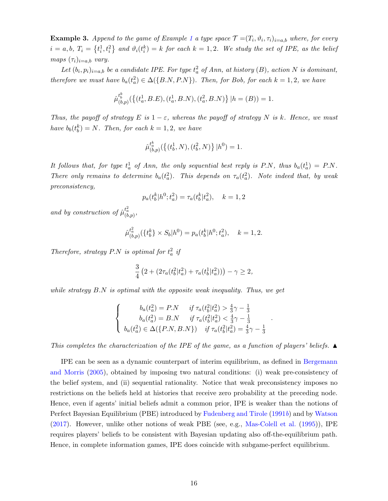**Example 3.** Append to the game of Example [1](#page-8-0) a type space  $\mathcal{T} = (T_i, \vartheta_i, \tau_i)_{i=a,b}$  where, for every  $i = a, b, T_i = \left\{t_i^1, t_i^2\right\}$  and  $\vartheta_i(t_i^k) = k$  for each  $k = 1, 2$ . We study the set of IPE, as the belief maps  $(\tau_i)_{i=a,b}$  vary.

Let  $(b_i, p_i)_{i=a,b}$  be a candidate IPE. For type  $t_a^2$  of Ann, at history  $(B)$ , action N is dominant, therefore we must have  $b_a(t_a^2) \in \Delta({B.N}, P.N)$ ). Then, for Bob, for each  $k = 1, 2$ , we have

$$
\hat{\mu}_{(b,p)}^{t_b^k}(\{(t_a^1, B.E), (t_a^1, B.N), (t_a^2, B.N)\}\,|h = (B)) = 1.
$$

Thus, the payoff of strategy E is  $1 - \varepsilon$ , whereas the payoff of strategy N is k. Hence, we must have  $b_b(t_b^k) = N$ . Then, for each  $k = 1, 2$ , we have

$$
\hat{\mu}_{(b,p)}^{t_a^k}(\{(t_b^1,N),(t_b^2,N)\}\,|h^0)=1.
$$

It follows that, for type  $t_a^1$  of Ann, the only sequential best reply is P.N, thus  $b_a(t_a^1) = P.N$ . There only remains to determine  $b_a(t_a^2)$ . This depends on  $\tau_a(t_a^2)$ . Note indeed that, by weak preconsistency,

$$
p_a(t_b^k|h^0; t_a^2) = \tau_a(t_b^k|t_a^2), \quad k = 1, 2
$$

and by construction of  $\hat{\mu}_{(b,p)}^{t_a^2}$ ,

$$
\hat{\mu}_{(b,p)}^{t_a^2}(\{t_b^k\} \times S_b|h^0) = p_a(t_b^k|h^0; t_a^2), \quad k = 1, 2.
$$

Therefore, strategy P.N is optimal for  $t_a^2$  if

$$
\frac{3}{4}\left(2+(2\tau_a(t_b^2|t_a^2)+\tau_a(t_b^1|t_a^2))\right)-\gamma\geq 2,
$$

while strategy B.N is optimal with the opposite weak inequality. Thus, we get

$$
\begin{cases}\n\begin{aligned}\nb_a(t_a^2) &= P.N & \text{if } \tau_a(t_b^2 | t_a^2) > \frac{4}{3}\gamma - \frac{1}{3} \\
b_a(t_a^2) &= B.N & \text{if } \tau_a(t_b^2 | t_a^2) < \frac{4}{3}\gamma - \frac{1}{3} \\
b_a(t_a^2) & \in \Delta(\{P.N, B.N\}) & \text{if } \tau_a(t_b^2 | t_a^2) = \frac{4}{3}\gamma - \frac{1}{3}\n\end{aligned}\n\end{cases}
$$

.

This completes the characterization of the IPE of the game, as a function of players' beliefs.  $\blacktriangle$ 

IPE can be seen as a dynamic counterpart of interim equilibrium, as defined in [Bergemann](#page-32-2) [and Morris](#page-32-2) [\(2005\)](#page-32-2), obtained by imposing two natural conditions: (i) weak pre-consistency of the belief system, and (ii) sequential rationality. Notice that weak preconsistency imposes no restrictions on the beliefs held at histories that receive zero probability at the preceding node. Hence, even if agents' initial beliefs admit a common prior, IPE is weaker than the notions of Perfect Bayesian Equilibrium (PBE) introduced by [Fudenberg and Tirole](#page-33-3)  $(1991b)$  $(1991b)$  and by [Watson](#page-35-1) [\(2017\)](#page-35-1). However, unlike other notions of weak PBE (see, e.g., [Mas-Colell et al.](#page-34-8) [\(1995\)](#page-34-8)), IPE requires players' beliefs to be consistent with Bayesian updating also off-the-equilibrium path. Hence, in complete information games, IPE does coincide with subgame-perfect equilibrium.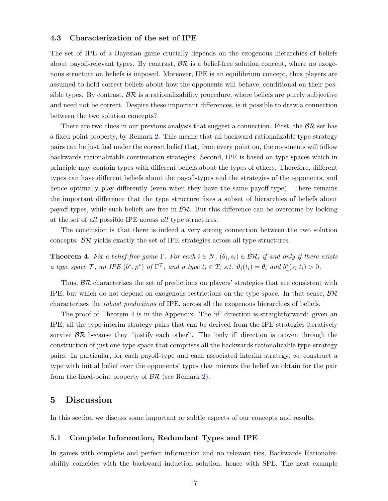#### 4.3 Characterization of the set of IPE

The set of IPE of a Bayesian game crucially depends on the exogenous hierarchies of beliefs about payoff-relevant types. By contrast,  $\mathcal{BR}$  is a belief-free solution concept, where no exogenous structure on beliefs is imposed. Moreover, IPE is an equilibrium concept, thus players are assumed to hold correct beliefs about how the opponents will behave, conditional on their possible types. By contrast,  $\beta \mathcal{R}$  is a rationalizability procedure, where beliefs are purely subjective and need not be correct. Despite these important differences, is it possible to draw a connection between the two solution concepts?

There are two clues in our previous analysis that suggest a connection. First, the  $\beta \mathcal{R}$  set has a fixed point property, by Remark [2.](#page-9-1) This means that all backward rationalizable type-strategy pairs can be justified under the correct belief that, from every point on, the opponents will follow backwards rationalizable continuation strategies. Second, IPE is based on type spaces which in principle may contain types with different beliefs about the types of others. Therefore, different types can have different beliefs about the payoff-types and the strategies of the opponents, and hence optimally play differently (even when they have the same payoff-type). There remains the important difference that the type structure fixes a subset of hierarchies of beliefs about payoff-types, while such beliefs are free in  $\mathcal{BR}$ . But this difference can be overcome by looking at the set of all possible IPE across all type structures.

The conclusion is that there is indeed a very strong connection between the two solution concepts: BR yields exactly the set of IPE strategies across all type structures.

<span id="page-17-0"></span>**Theorem 4.** Fix a belief-free game  $\Gamma$ . For each  $i \in N$ ,  $(\theta_i, s_i) \in \mathcal{BR}_i$  if and only if there exists a type space  $\mathcal{T}$ , an IPE  $(b^*, p^*)$  of  $\Gamma^{\mathcal{T}}$ , and a type  $t_i \in T_i$  s.t.  $\vartheta_i(t_i) = \theta_i$  and  $b_i^*(s_i|t_i) > 0$ .

Thus,  $\beta \mathcal{R}$  characterizes the set of predictions on players' strategies that are consistent with IPE, but which do not depend on exogenous restrictions on the type space. In that sense,  $\beta \mathcal{R}$ characterizes the robust predictions of IPE, across all the exogenous hierarchies of beliefs.

The proof of Theorem [4](#page-17-0) is in the Appendix. The 'if' direction is straightforward: given an IPE, all the type-interim strategy pairs that can be derived from the IPE strategies iteratively survive  $\beta \mathcal{R}$  because they "justify each other". The 'only if' direction is proven through the construction of just one type space that comprises all the backwards rationalizable type-strategy pairs. In particular, for each payoff-type and each associated interim strategy, we construct a type with initial belief over the opponents' types that mirrors the belief we obtain for the pair from the fixed-point property of  $\mathcal{BR}$  (see Remark [2\)](#page-9-1).

## <span id="page-17-1"></span>5 Discussion

In this section we discuss some important or subtle aspects of our concepts and results.

#### <span id="page-17-2"></span>5.1 Complete Information, Redundant Types and IPE

In games with complete and perfect information and no relevant ties, Backwards Rationalizability coincides with the backward induction solution, hence with SPE. The next example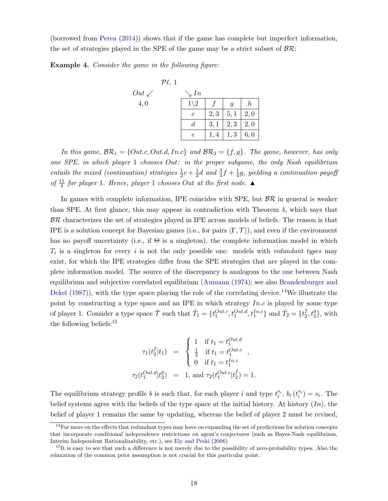(borrowed from [Perea](#page-35-2) [\(2014\)](#page-35-2)) shows that if the game has complete but imperfect information, the set of strategies played in the SPE of the game may be a strict subset of  $\beta \mathcal{R}$ :

Example 4. Consider the game in the following figure:



In this game,  $\mathcal{BR}_1 = \{Out.c, Out.d, Inc\}$  and  $\mathcal{BR}_2 = \{f, g\}$ . The game, however, has only one SPE, in which player 1 chooses Out: in the proper subgame, the only Nash equilibrium entails the mixed (continuation) strategies  $\frac{1}{2}c + \frac{1}{2}$  $\frac{1}{2}d$  and  $\frac{3}{4}f + \frac{1}{4}$  $\frac{1}{4}g$ , yielding a continuation payoff of  $\frac{11}{4}$  for player 1. Hence, player 1 chooses Out at the first node.  $\blacktriangle$ 

In games with complete information, IPE coincides with SPE, but  $\beta \mathcal{R}$  in general is weaker than SPE. At first glance, this may appear in contradiction with Theorem [4,](#page-17-0) which says that  $BR$  characterizes the set of strategies played in IPE across models of beliefs. The reason is that IPE is a solution concept for Bayesian games (i.e., for pairs  $\langle \Gamma, \mathcal{T} \rangle$ ), and even if the environment has no payoff uncertainty (i.e., if  $\Theta$  is a singleton), the complete information model in which  $T_i$  is a singleton for every i is not the only possible one: models with *redundant types* may exist, for which the IPE strategies differ from the SPE strategies that are played in the complete information model. The source of the discrepancy is analogous to the one between Nash equilibrium and subjective correlated equilibrium [\(Aumann](#page-32-4) [\(1974\)](#page-32-4); see also [Brandenburger and](#page-33-1) [Dekel](#page-33-1)  $(1987)$ , with the type space playing the role of the correlating device.<sup>[14](#page-18-0)</sup>We illustrate the point by constructing a type space and an IPE in which strategy  $In.c$  is played by some type of player 1. Consider a type space  $\hat{\mathcal{T}}$  such that  $\hat{T}_1 = \{t_1^{Out.c}, t_1^{Out.d}, t_1^{In.c}\}$  and  $\hat{T}_2 = \{t_2^{f}$  $\{f_2, t_2^g\}$ , with the following beliefs: $15$ 

$$
\tau_1(t_2^f|t_1) = \begin{cases}\n1 & \text{if } t_1 = t_1^{Out. d} \\
\frac{1}{2} & \text{if } t_1 = t_1^{Out. c} \\
0 & \text{if } t_1 = t_1^{In. c} \n\end{cases},
$$
\n
$$
\tau_2(t_1^{Out. d}|t_2^g) = 1, \text{ and } \tau_2(t_1^{Out. c}|t_2^f) = 1.
$$

The equilibrium strategy profile b is such that, for each player i and type  $t_i^{s_i}$ ,  $b_i(t_i^{s_i}) = s_i$ . The belief systems agree with the beliefs of the type space at the initial history. At history  $(In)$ , the belief of player 1 remains the same by updating, whereas the belief of player 2 must be revised,

<span id="page-18-0"></span> $14$  For more on the effects that redundant types may have on expanding the set of predictions for solution concepts that incorporate conditional independence restrictions on agent's conjectures (such as Bayes-Nash equilibrium, Interim Independent Rationalizability, etc.), see [Ely and Peski](#page-33-9) [\(2006\)](#page-33-9)

<span id="page-18-1"></span> $15$ It is easy to see that such a difference is not merely due to the possibility of zero-probability types. Also the relaxation of the common prior assumption is not crucial for this particular point.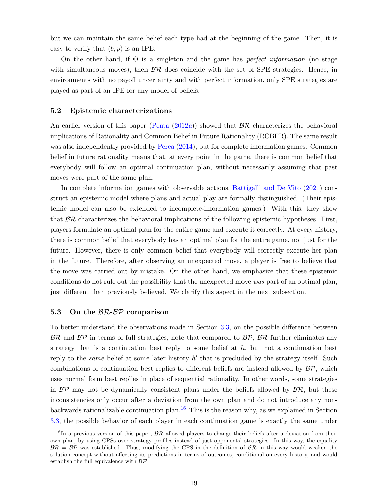but we can maintain the same belief each type had at the beginning of the game. Then, it is easy to verify that  $(b, p)$  is an IPE.

On the other hand, if  $\Theta$  is a singleton and the game has *perfect information* (no stage with simultaneous moves), then  $\beta \mathcal{R}$  does coincide with the set of SPE strategies. Hence, in environments with no payoff uncertainty and with perfect information, only SPE strategies are played as part of an IPE for any model of beliefs.

#### <span id="page-19-0"></span>5.2 Epistemic characterizations

An earlier version of this paper [\(Penta](#page-34-1)  $(2012a)$  $(2012a)$ ) showed that  $\beta \mathcal{R}$  characterizes the behavioral implications of Rationality and Common Belief in Future Rationality (RCBFR). The same result was also independently provided by [Perea](#page-35-2) [\(2014\)](#page-35-2), but for complete information games. Common belief in future rationality means that, at every point in the game, there is common belief that everybody will follow an optimal continuation plan, without necessarily assuming that past moves were part of the same plan.

In complete information games with observable actions, [Battigalli and De Vito](#page-32-1) [\(2021\)](#page-32-1) construct an epistemic model where plans and actual play are formally distinguished. (Their epistemic model can also be extended to incomplete-information games.) With this, they show that  $\beta \mathcal{R}$  characterizes the behavioral implications of the following epistemic hypotheses. First, players formulate an optimal plan for the entire game and execute it correctly. At every history, there is common belief that everybody has an optimal plan for the entire game, not just for the future. However, there is only common belief that everybody will correctly execute her plan in the future. Therefore, after observing an unexpected move, a player is free to believe that the move was carried out by mistake. On the other hand, we emphasize that these epistemic conditions do not rule out the possibility that the unexpected move was part of an optimal plan, just different than previously believed. We clarify this aspect in the next subsection.

#### <span id="page-19-1"></span>5.3 On the BR-BP comparison

To better understand the observations made in Section [3.3,](#page-11-1) on the possible difference between  $BR$  and  $BP$  in terms of full strategies, note that compared to  $BP$ ,  $BR$  further eliminates any strategy that is a continuation best reply to some belief at  $h$ , but not a continuation best reply to the *same* belief at some later history  $h'$  that is precluded by the strategy itself. Such combinations of continuation best replies to different beliefs are instead allowed by  $\mathcal{BP}$ , which uses normal form best replies in place of sequential rationality. In other words, some strategies in  $\beta \mathcal{P}$  may not be dynamically consistent plans under the beliefs allowed by  $\beta \mathcal{R}$ , but these inconsistencies only occur after a deviation from the own plan and do not introduce any non-backwards rationalizable continuation plan.<sup>[16](#page-19-2)</sup> This is the reason why, as we explained in Section [3.3,](#page-11-1) the possible behavior of each player in each continuation game is exactly the same under

<span id="page-19-2"></span><sup>&</sup>lt;sup>16</sup>In a previous version of this paper,  $\beta \mathcal{R}$  allowed players to change their beliefs after a deviation from their own plan, by using CPSs over strategy profiles instead of just opponents' strategies. In this way, the equality  $BR = BP$  was established. Thus, modifying the CPS in the definition of  $BR$  in this way would weaken the solution concept without affecting its predictions in terms of outcomes, conditional on every history, and would establish the full equivalence with BP.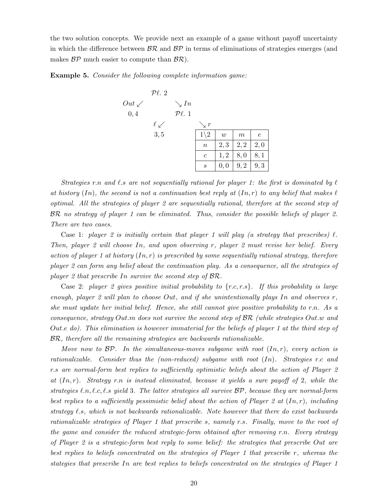the two solution concepts. We provide next an example of a game without payoff uncertainty in which the difference between  $\mathcal{BR}$  and  $\mathcal{BP}$  in terms of eliminations of strategies emerges (and makes  $BP$  much easier to compute than  $BR$ ).

<span id="page-20-0"></span>Example 5. Consider the following complete information game:



Strategies r.n and  $\ell$ .s are not sequentially rational for player 1: the first is dominated by  $\ell$ at history (In), the second is not a continuation best reply at  $(In, r)$  to any belief that makes  $\ell$ optimal. All the strategies of player 2 are sequentially rational, therefore at the second step of BR no strategy of player 1 can be eliminated. Thus, consider the possible beliefs of player 2. There are two cases.

Case 1: player 2 is initially certain that player 1 will play (a strategy that prescribes)  $\ell$ . Then, player 2 will choose In, and upon observing r, player 2 must revise her belief. Every action of player 1 at history  $(In, r)$  is prescribed by some sequentially rational strategy, therefore player 2 can form any belief about the continuation play. As a consequence, all the strategies of player 2 that prescribe In survive the second step of BR.

Case 2: player 2 gives positive initial probability to  $\{r.c, r.s\}$ . If this probability is large enough, player 2 will plan to choose Out, and if she unintentionally plays In and observes  $r$ , she must update her initial belief. Hence, she still cannot give positive probability to r.n. As a consequence, strategy Out.m does not survive the second step of BR (while strategies Out.w and Out.e do). This elimination is however immaterial for the beliefs of player 1 at the third step of BR, therefore all the remaining strategies are backwards rationalizable.

Move now to  $BP$ . In the simultaneous-moves subgame with root  $(In, r)$ , every action is rationalizable. Consider thus the (non-reduced) subgame with root  $(In)$ . Strategies r.c and r.s are normal-form best replies to sufficiently optimistic beliefs about the action of Player 2 at  $(In, r)$ . Strategy r.n is instead eliminated, because it yields a sure payoff of 2, while the strategies  $\ell.n, \ell.c, \ell.s$  yield 3. The latter strategies all survive  $\mathcal{BP}$ , because they are normal-form best replies to a sufficiently pessimistic belief about the action of Player 2 at  $(In, r)$ , including strategy  $\ell$ .s, which is not backwards rationalizable. Note however that there do exist backwards rationalizable strategies of Player 1 that prescribe s, namely r.s. Finally, move to the root of the game and consider the reduced strategic-form obtained after removing r.n. Every strategy of Player 2 is a strategic-form best reply to some belief: the strategies that prescribe Out are best replies to beliefs concentrated on the strategies of Player 1 that prescribe r, whereas the stategies that prescribe In are best replies to beliefs concentrated on the strategies of Player 1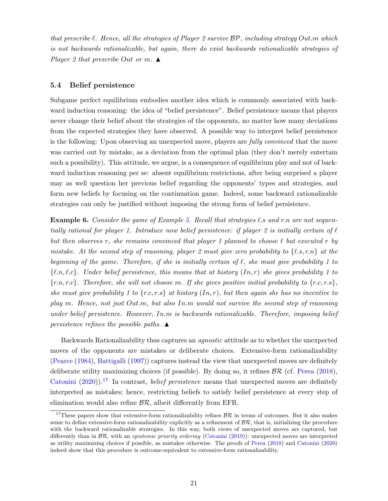that prescribe  $\ell$ . Hence, all the strategies of Player 2 survive  $\mathcal{BP}$ , including strategy Out.m which is not backwards rationalizable, but again, there do exist backwards rationalizable strategies of Player 2 that prescribe Out or m.  $\triangle$ 

#### 5.4 Belief persistence

Subgame perfect equilibrium embodies another idea which is commonly associated with backward induction reasoning: the idea of "belief persistence". Belief persistence means that players never change their belief about the strategies of the opponents, no matter how many deviations from the expected strategies they have observed. A possible way to interpret belief persistence is the following: Upon observing an unexpected move, players are *fully convinced* that the move was carried out by mistake, as a deviation from the optimal plan (they don't merely entertain such a possibility). This attitude, we argue, is a consequence of equilibrium play and not of backward induction reasoning per se: absent equilibrium restrictions, after being surprised a player may as well question her previous belief regarding the opponents' types and strategies, and form new beliefs by focusing on the continuation game. Indeed, some backward rationalizable strategies can only be justified without imposing the strong form of belief persistence.

**Example 6.** Consider the game of Example [5.](#page-20-0) Recall that strategies l.s and r.n are not sequentially rational for player 1. Introduce now belief persistence: if player 2 is initially certain of  $\ell$ but then observes r, she remains convinced that player 1 planned to choose  $\ell$  but executed r by mistake. At the second step of reasoning, player 2 must give zero probability to  $\{\ell, s, r.n\}$  at the beginning of the game. Therefore, if she is initially certain of  $\ell$ , she must give probability 1 to  $\{\ell,n,\ell,c\}.$  Under belief persistence, this means that at history  $(In, r)$  she gives probability 1 to  ${r.n, r.c}.$  Therefore, she will not choose m. If she gives positive initial probability to  ${r.c, r.s}.$ she must give probability 1 to  $\{r.c, r.s\}$  at history  $(In, r)$ , but then again she has no incentive to play m. Hence, not just Out.m, but also In.m would not survive the second step of reasoning under belief persistence. However,  $In. m$  is backwards rationalizable. Therefore, imposing belief persistence refines the possible paths.  $\blacktriangle$ 

Backwards Rationalizability thus captures an agnostic attitude as to whether the unexpected moves of the opponents are mistakes or deliberate choices. Extensive-form rationalizability [\(Pearce](#page-34-3) [\(1984\)](#page-34-3), [Battigalli](#page-32-12) [\(1997\)](#page-32-12)) captures instead the view that unexpected moves are definitely deliberate utility maximizing choices (if possible). By doing so, it refines  $\mathcal{BR}$  (cf. [Perea](#page-35-7) [\(2018\)](#page-35-7), [Catonini](#page-33-14) [\(2020\)](#page-33-14)).<sup>[17](#page-21-0)</sup> In contrast, *belief persistence* means that unexpected moves are definitely interpreted as mistakes; hence, restricting beliefs to satisfy belief persistence at every step of elimination would also refine  $\mathcal{BR}$ , albeit differently from EFR.

<span id="page-21-0"></span><sup>&</sup>lt;sup>17</sup>These papers show that extensive-form rationalizability refines  $BR$  in terms of outcomes. But it also makes sense to define extensive-form rationalizability explicitly as a refinement of  $\mathcal{BR}$ , that is, initializing the procedure with the backward rationalizable strategies. In this way, both views of unexpected moves are captured, but differently than in  $\mathcal{BR}$ , with an *epistemic priority ordering* [\(Catonini](#page-33-15) [\(2019\)](#page-33-15)): unexpected moves are interpreted as utility maximizing choices if possible, as mistakes otherwise. The proofs of [Perea](#page-35-7) [\(2018\)](#page-35-7) and [Catonini](#page-33-14) [\(2020\)](#page-33-14) indeed show that this procedure is outcome-equivalent to extensive-form rationalizability.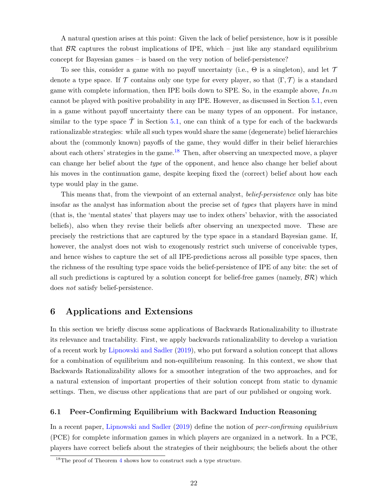A natural question arises at this point: Given the lack of belief persistence, how is it possible that  $\beta \mathcal{R}$  captures the robust implications of IPE, which – just like any standard equilibrium concept for Bayesian games – is based on the very notion of belief-persistence?

To see this, consider a game with no payoff uncertainty (i.e.,  $\Theta$  is a singleton), and let  $\mathcal T$ denote a type space. If T contains only one type for every player, so that  $\langle \Gamma, \mathcal{T} \rangle$  is a standard game with complete information, then IPE boils down to SPE. So, in the example above,  $In.m$ cannot be played with positive probability in any IPE. However, as discussed in Section [5.1,](#page-17-2) even in a game without payoff uncertainty there can be many types of an opponent. For instance, similar to the type space  $\tilde{T}$  in Section [5.1,](#page-17-2) one can think of a type for each of the backwards rationalizable strategies: while all such types would share the same (degenerate) belief hierarchies about the (commonly known) payoffs of the game, they would differ in their belief hierarchies about each others' strategies in the game.<sup>[18](#page-22-1)</sup> Then, after observing an unexpected move, a player can change her belief about the type of the opponent, and hence also change her belief about his moves in the continuation game, despite keeping fixed the (correct) belief about how each type would play in the game.

This means that, from the viewpoint of an external analyst, *belief-persistence* only has bite insofar as the analyst has information about the precise set of types that players have in mind (that is, the 'mental states' that players may use to index others' behavior, with the associated beliefs), also when they revise their beliefs after observing an unexpected move. These are precisely the restrictions that are captured by the type space in a standard Bayesian game. If, however, the analyst does not wish to exogenously restrict such universe of conceivable types, and hence wishes to capture the set of all IPE-predictions across all possible type spaces, then the richness of the resulting type space voids the belief-persistence of IPE of any bite: the set of all such predictions is captured by a solution concept for belief-free games (namely,  $\mathcal{BR}$ ) which does not satisfy belief-persistence.

## <span id="page-22-0"></span>6 Applications and Extensions

In this section we briefly discuss some applications of Backwards Rationalizability to illustrate its relevance and tractability. First, we apply backwards rationalizability to develop a variation of a recent work by [Lipnowski and Sadler](#page-34-0) [\(2019\)](#page-34-0), who put forward a solution concept that allows for a combination of equilibrium and non-equilibrium reasoning. In this context, we show that Backwards Rationalizability allows for a smoother integration of the two approaches, and for a natural extension of important properties of their solution concept from static to dynamic settings. Then, we discuss other applications that are part of our published or ongoing work.

#### 6.1 Peer-Confirming Equilibrium with Backward Induction Reasoning

In a recent paper, [Lipnowski and Sadler](#page-34-0) [\(2019\)](#page-34-0) define the notion of *peer-confirming equilibrium* (PCE) for complete information games in which players are organized in a network. In a PCE, players have correct beliefs about the strategies of their neighbours; the beliefs about the other

<span id="page-22-1"></span><sup>&</sup>lt;sup>18</sup>The proof of Theorem [4](#page-17-0) shows how to construct such a type structure.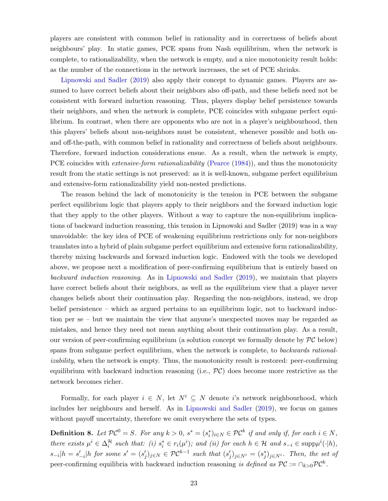players are consistent with common belief in rationality and in correctness of beliefs about neighbours' play. In static games, PCE spans from Nash equilibrium, when the network is complete, to rationalizability, when the network is empty, and a nice monotonicity result holds: as the number of the connections in the network increases, the set of PCE shrinks.

[Lipnowski and Sadler](#page-34-0) [\(2019\)](#page-34-0) also apply their concept to dynamic games. Players are assumed to have correct beliefs about their neighbors also off-path, and these beliefs need not be consistent with forward induction reasoning. Thus, players display belief persistence towards their neighbors, and when the network is complete, PCE coincides with subgame perfect equilibrium. In contrast, when there are opponents who are not in a player's neighbourhood, then this players' beliefs about non-neighbors must be consistent, whenever possible and both onand off-the-path, with common belief in rationality and correctness of beliefs about neighbours. Therefore, forward induction considerations ensue. As a result, when the network is empty, PCE coincides with *extensive-form rationalizability* [\(Pearce](#page-34-3) [\(1984\)](#page-34-3)), and thus the monotonicity result from the static settings is not preserved: as it is well-known, subgame perfect equilibrium and extensive-form rationalizability yield non-nested predictions.

The reason behind the lack of monotonicity is the tension in PCE between the subgame perfect equilibrium logic that players apply to their neighbors and the forward induction logic that they apply to the other players. Without a way to capture the non-equilibrium implications of backward induction reasoning, this tension in Lipnowski and Sadler (2019) was in a way unavoidable: the key idea of PCE of weakening equilibrium restrictions only for non-neighbors translates into a hybrid of plain subgame perfect equilibrium and extensive form rationalizability, thereby mixing backwards and forward induction logic. Endowed with the tools we developed above, we propose next a modification of peer-confirming equilibrium that is entirely based on backward induction reasoning. As in [Lipnowski and Sadler](#page-34-0) [\(2019\)](#page-34-0), we maintain that players have correct beliefs about their neighbors, as well as the equilibrium view that a player never changes beliefs about their continuation play. Regarding the non-neighbors, instead, we drop belief persistence – which as argued pertains to an equilibrium logic, not to backward induction per se – but we maintain the view that anyone's unexpected moves may be regarded as mistakes, and hence they need not mean anything about their continuation play. As a result, our version of peer-confirming equilibrium (a solution concept we formally denote by  $\mathcal{PC}$  below) spans from subgame perfect equilibrium, when the network is complete, to *backwards rational*izability, when the network is empty. Thus, the monotonicity result is restored: peer-confirming equilibrium with backward induction reasoning (i.e.,  $\mathcal{PC}$ ) does become more restrictive as the network becomes richer.

Formally, for each player  $i \in N$ , let  $N^i \subseteq N$  denote i's network neighbourhood, which includes her neighbours and herself. As in [Lipnowski and Sadler](#page-34-0) [\(2019\)](#page-34-0), we focus on games without payoff uncertainty, therefore we omit everywhere the sets of types.

<span id="page-23-0"></span>**Definition 8.** Let  $\mathcal{PC}^0 = S$ . For any  $k > 0$ ,  $s^* = (s_i^*)_{i \in N} \in \mathcal{PC}^k$  if and only if, for each  $i \in N$ , there exists  $\mu^i \in \Delta_i^{\mathcal{H}}$  such that: (i)  $s_i^* \in r_i(\mu^i)$ ; and (ii) for each  $h \in \mathcal{H}$  and  $s_{-i} \in \text{supp}\mu^i(\cdot|h)$ ,  $s_{-i}|h = s'_{-i}|h$  for some  $s' = (s'_j)_{j \in N} \in \mathcal{PC}^{k-1}$  such that  $(s'_j)_{j \in N^i} = (s^*_j)_{j \in N^i}$ . Then, the set of peer-confirming equilibria with backward induction reasoning is defined as  $\mathcal{PC} := \cap_{k>0} \mathcal{PC}^k$ .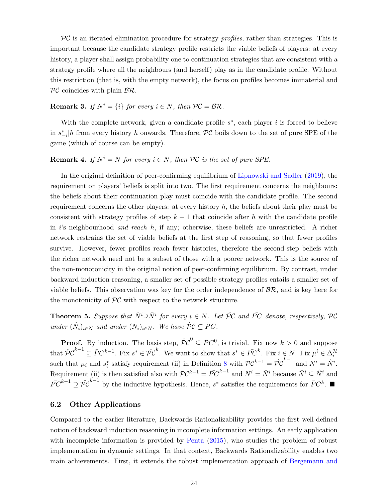$PC$  is an iterated elimination procedure for strategy profiles, rather than strategies. This is important because the candidate strategy profile restricts the viable beliefs of players: at every history, a player shall assign probability one to continuation strategies that are consistent with a strategy profile where all the neighbours (and herself) play as in the candidate profile. Without this restriction (that is, with the empty network), the focus on profiles becomes immaterial and  $\mathcal{PC}$  coincides with plain  $\mathcal{BR}$ .

**Remark 3.** If  $N^i = \{i\}$  for every  $i \in N$ , then  $\mathcal{PC} = \mathcal{BR}$ .

With the complete network, given a candidate profile  $s^*$ , each player i is forced to believe in  $s_{-i}^*$  h from every history h onwards. Therefore,  $\mathcal{PC}$  boils down to the set of pure SPE of the game (which of course can be empty).

### **Remark 4.** If  $N^i = N$  for every  $i \in N$ , then PC is the set of pure SPE.

In the original definition of peer-confirming equilibrium of [Lipnowski and Sadler](#page-34-0) [\(2019\)](#page-34-0), the requirement on players' beliefs is split into two. The first requirement concerns the neighbours: the beliefs about their continuation play must coincide with the candidate profile. The second requirement concerns the other players: at every history  $h$ , the beliefs about their play must be consistent with strategy profiles of step  $k - 1$  that coincide after h with the candidate profile in i's neighbourhood and reach h, if any; otherwise, these beliefs are unrestricted. A richer network restrains the set of viable beliefs at the first step of reasoning, so that fewer profiles survive. However, fewer profiles reach fewer histories, therefore the second-step beliefs with the richer network need not be a subset of those with a poorer network. This is the source of the non-monotonicity in the original notion of peer-confirming equilibrium. By contrast, under backward induction reasoning, a smaller set of possible strategy profiles entails a smaller set of viable beliefs. This observation was key for the order independence of  $\mathcal{BR}$ , and is key here for the monotonicity of  $PC$  with respect to the network structure.

**Theorem 5.** Suppose that  $\hat{N}^i \supseteq \bar{N}^i$  for every  $i \in N$ . Let  $\hat{PC}$  and  $\bar{PC}$  denote, respectively,  $\hat{PC}$ under  $(\hat{N}_i)_{i \in N}$  and under  $(\bar{N}_i)_{i \in N}$ . We have  $\hat{\mathcal{P}} \mathcal{C} \subseteq \bar{P}C$ .

**Proof.** By induction. The basis step,  $\hat{\mathcal{PC}}^0 \subseteq \overline{P}C^0$ , is trivial. Fix now  $k > 0$  and suppose that  $\hat{\mathcal{P}} \mathcal{C}^{k-1} \subseteq \bar{P} C^{k-1}$ . Fix  $s^* \in \hat{\mathcal{P}} \mathcal{C}^k$ . We want to show that  $s^* \in \bar{P} C^k$ . Fix  $i \in \mathbb{N}$ . Fix  $\mu^i \in \Delta_i^{\mathcal{H}}$ such that  $\mu_i$  and  $s_i^*$  satisfy requirement (ii) in Definition [8](#page-23-0) with  $\mathcal{PC}^{k-1} = \hat{\mathcal{PC}}^{k-1}$  and  $N^i = \hat{N}^i$ . Requirement (ii) is then satisfied also with  $\mathcal{PC}^{k-1} = \overline{PC}^{k-1}$  and  $N^i = \overline{N}^i$  because  $\overline{N}^i \subseteq \hat{N}^i$  and  $\bar{PC}^{k-1} \supseteq \hat{PC}^{k-1}$  by the inductive hypothesis. Hence, s<sup>\*</sup> satisfies the requirements for  $\bar{PC}^k$ .

#### 6.2 Other Applications

Compared to the earlier literature, Backwards Rationalizability provides the first well-defined notion of backward induction reasoning in incomplete information settings. An early application with incomplete information is provided by [Penta](#page-34-4) [\(2015\)](#page-34-4), who studies the problem of robust implementation in dynamic settings. In that context, Backwards Rationalizability enables two main achievements. First, it extends the robust implementation approach of [Bergemann and](#page-33-8)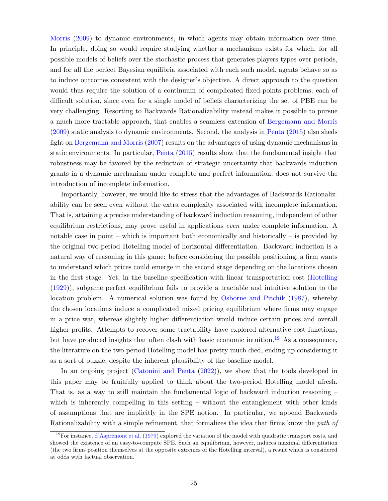[Morris](#page-33-8) [\(2009\)](#page-33-8) to dynamic environments, in which agents may obtain information over time. In principle, doing so would require studying whether a mechanisms exists for which, for all possible models of beliefs over the stochastic process that generates players types over periods, and for all the perfect Bayesian equilibria associated with each such model, agents behave so as to induce outcomes consistent with the designer's objective. A direct approach to the question would thus require the solution of a continuum of complicated fixed-points problems, each of difficult solution, since even for a single model of beliefs characterizing the set of PBE can be very challenging. Resorting to Backwards Rationalizability instead makes it possible to pursue a much more tractable approach, that enables a seamless extension of [Bergemann and Morris](#page-33-8) [\(2009\)](#page-33-8) static analysis to dynamic environments. Second, the analysis in [Penta](#page-34-4) [\(2015\)](#page-34-4) also sheds light on [Bergemann and Morris](#page-32-13) [\(2007\)](#page-32-13) results on the advantages of using dynamic mechanisms in static environments. In particular, [Penta](#page-34-4) [\(2015\)](#page-34-4) results show that the fundamental insight that robustness may be favored by the reduction of strategic uncertainty that backwards induction grants in a dynamic mechanism under complete and perfect information, does not survive the introduction of incomplete information.

Importantly, however, we would like to stress that the advantages of Backwards Rationalizability can be seen even without the extra complexity associated with incomplete information. That is, attaining a precise understanding of backward induction reasoning, independent of other equilibrium restrictions, may prove useful in applications *even* under complete information. A notable case in point – which is important both economically and historically – is provided by the original two-period Hotelling model of horizontal differentiation. Backward induction is a natural way of reasoning in this game: before considering the possible positioning, a firm wants to understand which prices could emerge in the second stage depending on the locations chosen in the first stage. Yet, in the baseline specification with linear transportation cost [\(Hotelling](#page-34-5) [\(1929\)](#page-34-5)), subgame perfect equilibrium fails to provide a tractable and intuitive solution to the location problem. A numerical solution was found by [Osborne and Pitchik](#page-34-6) [\(1987\)](#page-34-6), whereby the chosen locations induce a complicated mixed pricing equilibrium where firms may engage in a price war, whereas slightly higher differentiation would induce certain prices and overall higher profits. Attempts to recover some tractability have explored alternative cost functions, but have produced insights that often clash with basic economic intuition.<sup>[19](#page-25-0)</sup> As a consequence, the literature on the two-period Hotelling model has pretty much died, ending up considering it as a sort of puzzle, despite the inherent plausibility of the baseline model.

In an ongoing project [\(Catonini and Penta](#page-33-2) [\(2022\)](#page-33-2)), we show that the tools developed in this paper may be fruitfully applied to think about the two-period Hotelling model afresh. That is, as a way to still maintain the fundamental logic of backward induction reasoning – which is inherently compelling in this setting – without the entanglement with other kinds of assumptions that are implicitly in the SPE notion. In particular, we append Backwards Rationalizability with a simple refinement, that formalizes the idea that firms know the path of

<span id="page-25-0"></span><sup>&</sup>lt;sup>19</sup>For instance, [d'Aspremont et al.](#page-33-16) [\(1979\)](#page-33-16) explored the variation of the model with quadratic transport costs, and showed the existence of an easy-to-compute SPE. Such an equilibrium, however, induces maximal differentiation (the two firms position themselves at the opposite extremes of the Hotelling interval), a result which is considered at odds with factual observation.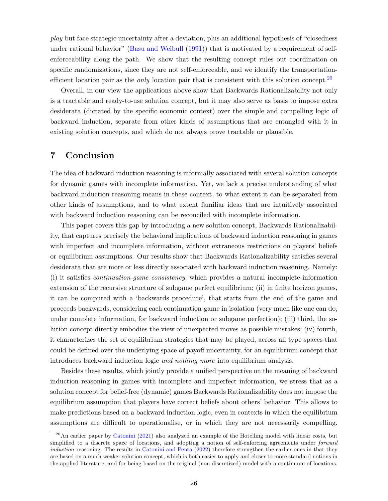play but face strategic uncertainty after a deviation, plus an additional hypothesis of "closedness under rational behavior" [\(Basu and Weibull](#page-32-14) [\(1991\)](#page-32-14)) that is motivated by a requirement of selfenforceability along the path. We show that the resulting concept rules out coordination on specific randomizations, since they are not self-enforceable, and we identify the transportationefficient location pair as the *only* location pair that is consistent with this solution concept.<sup>[20](#page-26-0)</sup>

Overall, in our view the applications above show that Backwards Rationalizability not only is a tractable and ready-to-use solution concept, but it may also serve as basis to impose extra desiderata (dictated by the specific economic context) over the simple and compelling logic of backward induction, separate from other kinds of assumptions that are entangled with it in existing solution concepts, and which do not always prove tractable or plausible.

## 7 Conclusion

The idea of backward induction reasoning is informally associated with several solution concepts for dynamic games with incomplete information. Yet, we lack a precise understanding of what backward induction reasoning means in these context, to what extent it can be separated from other kinds of assumptions, and to what extent familiar ideas that are intuitively associated with backward induction reasoning can be reconciled with incomplete information.

This paper covers this gap by introducing a new solution concept, Backwards Rationalizability, that captures precisely the behavioral implications of backward induction reasoning in games with imperfect and incomplete information, without extraneous restrictions on players' beliefs or equilibrium assumptions. Our results show that Backwards Rationalizability satisfies several desiderata that are more or less directly associated with backward induction reasoning. Namely: (i) it satisfies continuation-game consistency, which provides a natural incomplete-information extension of the recursive structure of subgame perfect equilibrium; (ii) in finite horizon games, it can be computed with a 'backwards procedure', that starts from the end of the game and proceeds backwards, considering each continuation-game in isolation (very much like one can do, under complete information, for backward induction or subgame perfection); (iii) third, the solution concept directly embodies the view of unexpected moves as possible mistakes; (iv) fourth, it characterizes the set of equilibrium strategies that may be played, across all type spaces that could be defined over the underlying space of payoff uncertainty, for an equilibrium concept that introduces backward induction logic and nothing more into equilibrium analysis.

Besides these results, which jointly provide a unified perspective on the meaning of backward induction reasoning in games with incomplete and imperfect information, we stress that as a solution concept for belief-free (dynamic) games Backwards Rationalizability does not impose the equilibrium assumption that players have correct beliefs about others' behavior. This allows to make predictions based on a backward induction logic, even in contexts in which the equilibrium assumptions are difficult to operationalise, or in which they are not necessarily compelling.

<span id="page-26-0"></span><sup>&</sup>lt;sup>20</sup>An earlier paper by [Catonini](#page-33-17) [\(2021\)](#page-33-17) also analyzed an example of the Hotelling model with linear costs, but simplified to a discrete space of locations, and adopting a notion of self-enforcing agreements under *forward* induction reasoning. The results in [Catonini and Penta](#page-33-2) [\(2022\)](#page-33-2) therefore strengthen the earlier ones in that they are based on a much weaker solution concept, which is both easier to apply and closer to more standard notions in the applied literature, and for being based on the original (non discretized) model with a continuum of locations.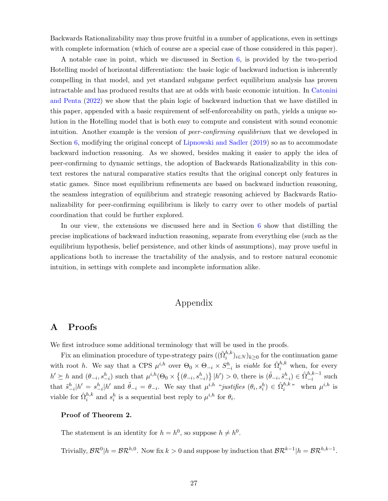Backwards Rationalizability may thus prove fruitful in a number of applications, even in settings with complete information (which of course are a special case of those considered in this paper).

A notable case in point, which we discussed in Section [6,](#page-22-0) is provided by the two-period Hotelling model of horizontal differentiation: the basic logic of backward induction is inherently compelling in that model, and yet standard subgame perfect equilibrium analysis has proven intractable and has produced results that are at odds with basic economic intuition. In [Catonini](#page-33-2) [and Penta](#page-33-2) [\(2022\)](#page-33-2) we show that the plain logic of backward induction that we have distilled in this paper, appended with a basic requirement of self-enforceability on path, yields a unique solution in the Hotelling model that is both easy to compute and consistent with sound economic intuition. Another example is the version of *peer-confirming equilibrium* that we developed in Section [6,](#page-22-0) modifying the original concept of [Lipnowski and Sadler](#page-34-0) [\(2019\)](#page-34-0) so as to accommodate backward induction reasoning. As we showed, besides making it easier to apply the idea of peer-confirming to dynamic settings, the adoption of Backwards Rationalizability in this context restores the natural comparative statics results that the original concept only features in static games. Since most equilibrium refinements are based on backward induction reasoning, the seamless integration of equilibrium and strategic reasoning achieved by Backwards Rationalizability for peer-confirming equilibrium is likely to carry over to other models of partial coordination that could be further explored.

In our view, the extensions we discussed here and in Section [6](#page-22-0) show that distilling the precise implications of backward induction reasoning, separate from everything else (such as the equilibrium hypothesis, belief persistence, and other kinds of assumptions), may prove useful in applications both to increase the tractability of the analysis, and to restore natural economic intuition, in settings with complete and incomplete information alike.

## Appendix

## A Proofs

We first introduce some additional terminology that will be used in the proofs.

Fix an elimination procedure of type-strategy pairs  $((\hat{\Omega}_{i}^{h,k})_{i\in N})_{k\geq 0}$  for the continuation game with root h. We say that a CPS  $\mu^{i,h}$  over  $\Theta_0 \times \Theta_{-i} \times S_{-i}^h$  is *viable* for  $\hat{\Omega}_i^{h,k}$  when, for every  $h' \succeq h$  and  $(\theta_{-i}, s_{-i}^h)$  such that  $\mu^{i,h}(\Theta_0 \times \{(\theta_{-i}, s_{-i}^h)\}\,|h') > 0$ , there is  $(\tilde{\theta}_{-i}, \tilde{s}_{-i}^h) \in \hat{\Omega}_{-i}^{h,k-1}$  such that  $\tilde{s}_{-i}^h|h' = s_{-i}^h|h'$  and  $\tilde{\theta}_{-i} = \theta_{-i}$ . We say that  $\mu^{i,h}$  "justifies  $(\theta_i, s_i^h) \in \hat{\Omega}_i^{h,k}$ " when  $\mu^{i,h}$  is viable for  $\hat{\Omega}_i^{h,k}$  and  $s_i^h$  is a sequential best reply to  $\mu^{i,h}$  for  $\theta_i$ .

#### Proof of Theorem 2.

The statement is an identity for  $h = h^0$ , so suppose  $h \neq h^0$ .

Trivially,  $\mathcal{BR}^0|h = \mathcal{BR}^{h,0}$ . Now fix  $k > 0$  and suppose by induction that  $\mathcal{BR}^{k-1}|h = \mathcal{BR}^{h,k-1}$ .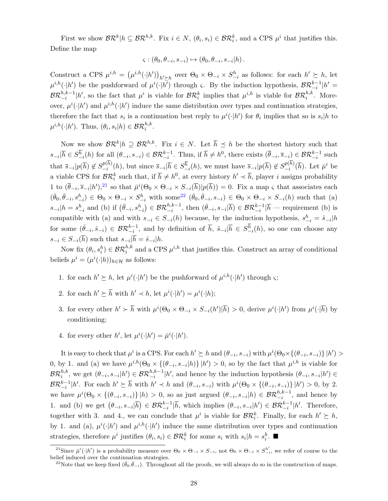First we show  $\mathcal{BR}^k|h \subseteq \mathcal{BR}^{h,k}$ . Fix  $i \in N$ ,  $(\theta_i, s_i) \in \mathcal{BR}_i^k$ , and a CPS  $\mu^i$  that justifies this. Define the map

$$
\varsigma : (\theta_0, \theta_{-i}, s_{-i}) \mapsto (\theta_0, \theta_{-i}, s_{-i}|h).
$$

Construct a CPS  $\mu^{i,h} = (\mu^{i,h}(\cdot|h'))_{h' \succeq h}$  over  $\Theta_0 \times \Theta_{-i} \times S^h_{-i}$  as follows: for each  $h' \succeq h$ , let  $\mu^{i,h}(\cdot|h')$  be the pushforward of  $\mu^i(\cdot|h')$  through  $\varsigma$ . By the induction hypothesis,  $\mathcal{BR}_{-i}^{k-1}|h' =$  $\mathcal{BR}_{-i}^{h,k-1} |h'$ , so the fact that  $\mu^i$  is viable for  $\mathcal{BR}_i^k$  implies that  $\mu^{i,h}$  is viable for  $\mathcal{BR}_i^{h,k}$ . Moreover,  $\mu^{i}(\cdot|h')$  and  $\mu^{i,h}(\cdot|h')$  induce the same distribution over types and continuation strategies, therefore the fact that  $s_i$  is a continuation best reply to  $\mu^i(\cdot|h')$  for  $\theta_i$  implies that so is  $s_i|h$  to  $\mu^{i,h}(\cdot|h')$ . Thus,  $(\theta_i, s_i|h) \in \mathcal{BR}_i^{h,k}$ .

Now we show  $\mathcal{BR}^k|h \supseteq \mathcal{BR}^{h,k}$ . Fix  $i \in N$ . Let  $\overline{h} \preceq h$  be the shortest history such that  $s_{-i}|\overline{h} \in S^{\overline{h}}_{-i}(h)$  for all  $(\theta_{-i}, s_{-i}) \in \mathcal{BR}^{k-1}_{-i}$ . Thus, if  $\overline{h} \neq h^0$ , there exists  $(\overline{\theta}_{-i}, \overline{s}_{-i}) \in \mathcal{BR}^{k-1}_{-i}$  such that  $\overline{s}_{-i}|p(\overline{h}) \notin S_{-i}^{p(h)}$  $_{-i}^{p(h)}(h)$ , but since  $\overline{s}_{-i}|\overline{h} \in S_{-i}^{\overline{h}}(h)$ , we must have  $\overline{s}_{-i}|p(\overline{h}) \notin S_{-i}^{p(h)}$  $_{-i}^{p(h)}(\overline{h})$ . Let  $\overline{\mu}^{i}$  be a viable CPS for  $\mathcal{BR}_i^k$  such that, if  $\bar{h} \neq h^0$ , at every history  $h' \prec \bar{h}$ , player *i* assigns probability 1 to  $(\bar{\theta}_{-i}, \bar{s}_{-i} | h')$ ,<sup>[21](#page-28-0)</sup> so that  $\bar{\mu}^i(\Theta_0 \times \Theta_{-i} \times S_{-i}(\bar{h}) | p(\bar{h})) = 0$ . Fix a map  $\varsigma$  that associates each  $(\bar{\theta}_0, \bar{\theta}_{-i}, s_{-i}^h) \in \Theta_0 \times \Theta_{-i} \times S_{-i}^h$  with some<sup>[22](#page-28-1)</sup>  $(\bar{\theta}_0, \bar{\theta}_{-i}, s_{-i}) \in \Theta_0 \times \Theta_{-i} \times S_{-i}(h)$  such that (a)  $s_{-i}|h = s_{-i}^h$  and (b) if  $(\bar{\theta}_{-i}, s_{-i}^h) \in \mathcal{BR}_{-i}^{h,k-1}$ , then  $(\bar{\theta}_{-i}, s_{-i}|\overline{h}) \in \mathcal{BR}_{-i}^{k-1}|\overline{h}$  — requirement (b) is compatible with (a) and with  $s_{-i} \in S_{-i}(h)$  because, by the induction hypothesis,  $s_{-i}^h = \hat{s}_{-i} | h$ for some  $(\bar{\theta}_{-i}, \hat{s}_{-i}) \in \mathcal{BR}_{-i}^{k-1}$ , and by definition of  $\bar{h}$ ,  $\hat{s}_{-i} | \bar{h} \in S_{-i}^{\bar{h}}(h)$ , so one can choose any  $s_{-i} \in S_{-i}(h)$  such that  $s_{-i}|h = \hat{s}_{-i}|h$ .

Now fix  $(\theta_i, s_i^h) \in \mathcal{BR}_i^{h,k}$  and a CPS  $\mu^{i,h}$  that justifies this. Construct an array of conditional beliefs  $\mu^i = (\mu^i(\cdot|h))_{h \in \mathcal{H}}$  as follows:

- 1. for each  $h' \succeq h$ , let  $\mu^{i}(\cdot | h')$  be the pushforward of  $\mu^{i,h}(\cdot | h')$  through  $\varsigma$ ;
- 2. for each  $h' \succeq \overline{h}$  with  $h' \prec h$ , let  $\mu^{i}(\cdot|h') = \mu^{i}(\cdot|h)$ ;
- 3. for every other  $h' \succ \overline{h}$  with  $\mu^{i}(\Theta_0 \times \Theta_{-i} \times S_{-i}(h')|\overline{h}) > 0$ , derive  $\mu^{i}(\cdot|h')$  from  $\mu^{i}(\cdot|\overline{h})$  by conditioning;
- 4. for every other h', let  $\mu^i(\cdot|h') = \bar{\mu}^i(\cdot|h').$

It is easy to check that  $\mu^i$  is a CPS. For each  $h' \succeq h$  and  $(\theta_{-i}, s_{-i})$  with  $\mu^i(\Theta_0 \times {\{\theta_{-i}, s_{-i}\}} | h') >$ 0, by 1. and (a) we have  $\mu^{i,h}(\Theta_0 \times {\{\theta_{-i}, s_{-i}|h\}} | h' ) > 0$ , so by the fact that  $\mu^{i,h}$  is viable for  $\mathcal{BR}_i^{h,k}$ , we get  $(\theta_{-i}, s_{-i}|h') \in \mathcal{BR}_{-i}^{h,k-1}|h'$ , and hence by the induction hypothesis  $(\theta_{-i}, s_{-i}|h') \in$  $\mathcal{BR}_{-i}^{k-1} | h'$ . For each  $h' \succeq \overline{h}$  with  $h' \prec h$  and  $(\theta_{-i}, s_{-i})$  with  $\mu^{i}(\Theta_0 \times {\{\theta_{-i}, s_{-i}\}} | h') > 0$ , by 2. we have  $\mu^{i}(\Theta_0 \times {\{\theta_{-i}, s_{-i}\}} | h) > 0$ , so as just argued  $(\theta_{-i}, s_{-i}| h) \in \mathcal{BR}_{-i}^{h,k-1}$ , and hence by 1. and (b) we get  $(\theta_{-i}, s_{-i}|\overline{h}) \in \mathcal{BR}_{-i}^{k-1}|\overline{h}$ , which implies  $(\theta_{-i}, s_{-i}|h') \in \mathcal{BR}_{-i}^{k-1}|h'$ . Therefore, together with 3. and 4., we can conclude that  $\mu^i$  is viable for  $\mathcal{BR}_i^k$ . Finally, for each  $h' \succeq h$ , by 1. and (a),  $\mu^{i}(\cdot|h')$  and  $\mu^{i,h}(\cdot|h')$  induce the same distribution over types and continuation strategies, therefore  $\mu^i$  justifies  $(\theta_i, s_i) \in \mathcal{BR}_i^k$  for some  $s_i$  with  $s_i | h = s_i^h$ .

<span id="page-28-0"></span><sup>&</sup>lt;sup>21</sup>Since  $\bar{\mu}^i(\cdot|h')$  is a probability measure over  $\Theta_0 \times \Theta_{-i} \times S_{-i}$ , not  $\Theta_0 \times \Theta_{-i} \times S_{-i}^{h'}$ , we refer of course to the belief induced over the continuation strategies.

<span id="page-28-1"></span><sup>&</sup>lt;sup>22</sup>Note that we keep fixed  $(\bar{\theta}_0, \bar{\theta}_{-i})$ . Throughout all the proofs, we will always do so in the construction of maps.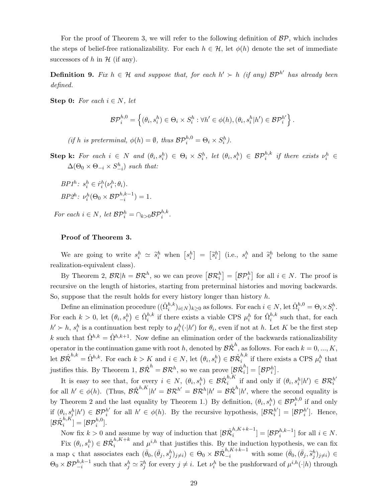For the proof of Theorem 3, we will refer to the following definition of  $BP$ , which includes the steps of belief-free rationalizability. For each  $h \in \mathcal{H}$ , let  $\phi(h)$  denote the set of immediate successors of h in  $\mathcal H$  (if any).

**Definition 9.** Fix  $h \in \mathcal{H}$  and suppose that, for each  $h' \succ h$  (if any)  $\mathcal{BP}^{h'}$  has already been defined.

Step 0: For each  $i \in N$ , let

$$
\mathcal{BP}_i^{h,0} = \left\{ (\theta_i, s_i^h) \in \Theta_i \times S_i^h : \forall h' \in \phi(h), (\theta_i, s_i^h | h') \in \mathcal{BP}_i^{h'} \right\}.
$$

(if h is preterminal,  $\phi(h) = \emptyset$ , thus  $\mathcal{BP}_i^{h,0} = \Theta_i \times S_i^h$ ).

Step k: For each  $i \in N$  and  $(\theta_i, s_i^h) \in \Theta_i \times S_i^h$ , let  $(\theta_i, s_i^h) \in \mathcal{BP}_i^{h,k}$  if there exists  $\nu_i^h \in$  $\Delta(\Theta_0 \times \Theta_{-i} \times S_{-i}^h)$  such that:

$$
BP1h: sih \in \hat{r}ih(\nuih; \thetai).
$$
  

$$
BP2h: \nuih(\Theta0 \times BP-ih,k-1) = 1.
$$

For each  $i \in N$ , let  $\mathcal{BP}_i^h = \bigcap_{k>0} \mathcal{BP}_i^{h,k}$ .

#### Proof of Theorem 3.

We are going to write  $s_i^h \simeq \tilde{s}_i^h$  when  $\left[ s_i^h \right] = \left[ \tilde{s}_i^h \right]$  (i.e.,  $s_i^h$  and  $\tilde{s}_i^h$  belong to the same realization-equivalent class).

By Theorem 2,  $\mathcal{BR} | h = \mathcal{BR}^h$ , so we can prove  $\left[ \mathcal{BR}^h_i \right] = \left[ \mathcal{BP}^h_i \right]$  for all  $i \in N$ . The proof is recursive on the length of histories, starting from preterminal histories and moving backwards. So, suppose that the result holds for every history longer than history  $h$ .

Define an elimination procedure  $((\hat{\Omega}_{i}^{h,k})_{i\in N})_{k\geq 0}$  as follows. For each  $i\in N$ , let  $\hat{\Omega}_{i}^{h,0} = \Theta_i \times S_i^h$ . For each  $k > 0$ , let  $(\theta_i, s_i^h) \in \hat{\Omega}_i^{h,k}$  if there exists a viable CPS  $\mu_i^h$  for  $\hat{\Omega}_i^{h,k}$  such that, for each  $h' \succ h$ ,  $s_i^h$  is a continuation best reply to  $\mu_i^h(\cdot|h')$  for  $\theta_i$ , even if not at h. Let K be the first step k such that  $\hat{\Omega}^{h,k} = \hat{\Omega}^{h,k+1}$ . Now define an elimination order of the backwards rationalizability operator in the continuation game with root h, denoted by  $\mathcal{B}\hat{\mathcal{R}}^h$ , as follows. For each  $k = 0, ..., K$ , let  $\mathcal{B}\hat{\mathcal{R}}^{h,k} = \hat{\Omega}^{h,k}$ . For each  $k > K$  and  $i \in N$ , let  $(\theta_i, s_i^h) \in \mathcal{B}\hat{\mathcal{R}}_i^{h,k}$  $i^{h,\kappa}$  if there exists a CPS  $\mu_i^h$  that justifies this. By Theorem 1,  $\mathcal{B}\hat{\mathcal{R}}^h = \mathcal{B}\mathcal{R}^h$ , so we can prove  $[\mathcal{B}\hat{\mathcal{R}}_i^h]$  $\left[ \begin{smallmatrix} h \ i \end{smallmatrix} \right] = \left[ \mathcal{BP}_i^h \right].$ 

It is easy to see that, for every  $i \in N$ ,  $(\theta_i, s_i^h) \in \mathcal{B} \hat{\mathcal{R}}_i^{h,K}$  $\sum_{i=1}^{h,K}$  if and only if  $(\theta_i, s_i^h|h') \in \mathcal{BR}_i^{h'}$ i for all  $h' \in \phi(h)$ . (Thus,  $\mathcal{B}\hat{\mathcal{R}}^{h,K}|h' = \mathcal{B}\mathcal{R}^{h'} = \mathcal{B}\mathcal{R}^h|h' = \mathcal{B}\hat{\mathcal{R}}^h|h'$ , where the second equality is by Theorem 2 and the last equality by Theorem 1.) By definition,  $(\theta_i, s_i^h) \in \mathcal{BP}_i^{h,0}$  if and only if  $(\theta_i, s_i^h | h') \in \mathcal{BP}_i^{h'}$  $h'$  for all  $h' \in \phi(h)$ . By the recursive hypothesis,  $[\mathcal{BR}_i^{h'}]$  $\left[ \begin{smallmatrix} h' \ i \end{smallmatrix} \right] = \left[ \mathcal{BP}_i^{h'} \right]$  $i^{\prime}$ ]. Hence,  $[\mathcal{B}\hat{\mathcal{R}}_i^{h,K}]$  $\binom{h,K}{i} = [\mathcal{BP}_i^{h,0}].$ 

Now fix  $k > 0$  and assume by way of induction that  $[\mathcal{B} \hat{\mathcal{R}}_i^{h,K+k-1}] = [\mathcal{B} \mathcal{P}_i^{h,k-1}]$  for all  $i \in N$ .  $i = \nu F_i$ Fix  $(\theta_i, s_i^h) \in \mathcal{B} \hat{\mathcal{R}}_i^{h,K+k}$  and  $\mu^{i,h}$  that justifies this. By the induction hypothesis, we can fix a map  $\varsigma$  that associates each  $(\bar{\theta}_0, (\bar{\theta}_j, s_j^h)_{j\neq i}) \in \Theta_0 \times \mathcal{B} \hat{\mathcal{R}}_{-i}^{h,K+k-1}$  with some  $(\bar{\theta}_0, (\bar{\theta}_j, \tilde{s}_j^h)_{j\neq i}) \in \Theta_0$  $\Theta_0 \times \mathcal{BP}_{-i}^{h,k-1}$  such that  $s_j^h \simeq \tilde{s}_j^h$  for every  $j \neq i$ . Let  $\nu_i^h$  be the pushforward of  $\mu^{i,h}(\cdot|h)$  through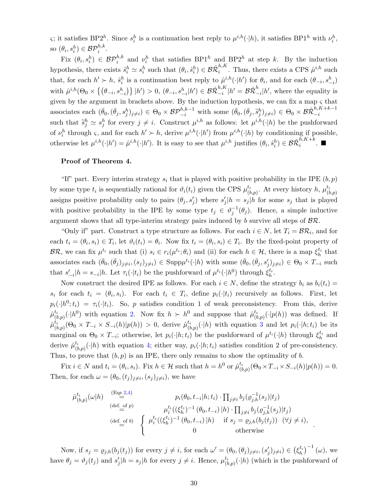ς; it satisfies BP2<sup>h</sup>. Since  $s_i^h$  is a continuation best reply to  $\mu^{i,h}(\cdot|h)$ , it satisfies BP1<sup>h</sup> with  $\nu_i^h$ , so  $(\theta_i, s_i^h) \in \mathcal{BP}_i^{h,k}$ .

Fix  $(\theta_i, s_i^h) \in \mathcal{BP}_i^{h,k}$  and  $\nu_i^h$  that satisfies BP1<sup>h</sup> and BP2<sup>h</sup> at step k. By the induction hypothesis, there exists  $\hat{s}_i^h \simeq s_i^h$  such that  $(\theta_i, \hat{s}_i^h) \in \mathcal{B} \hat{\mathcal{R}}_i^{h,K}$  $i^{n,\mathsf{A}}$ . Thus, there exists a CPS  $\hat{\mu}^{i,h}$  such that, for each  $h' \succ h$ ,  $\hat{s}_i^h$  is a continuation best reply to  $\hat{\mu}^{i,h}(\cdot|h')$  for  $\theta_i$ , and for each  $(\theta_{-i}, s_{-i}^h)$  $\text{with } \hat{\mu}^{i,h}(\Theta_0 \times \left\{ \left( \theta_{-i}, s_{-i}^h \right) \right\} | h' ) > 0, \, (\theta_{-i}, s_{-i}^h | h' ) \in \mathcal{B} \hat{\mathcal{R}}^{h,K}_{-i}$  $_{-i}^{h,K}|h'=\mathcal{B}\hat{\mathcal{R}}_{-}^{h}$  $\int_{-i}^{n} |h|$ , where the equality is given by the argument in brackets above. By the induction hypothesis, we can fix a map  $\varsigma$  that associates each  $(\bar{\theta}_0, (\bar{\theta}_j, s_j^h)_{j\neq i}) \in \Theta_0 \times \mathcal{BP}_{-i}^{h,k-1}$  with some  $(\bar{\theta}_0, (\bar{\theta}_j, \tilde{s}_j^h)_{j\neq i}) \in \Theta_0 \times \mathcal{BR}_{-i}^{h,K+k-1}$  $-i$ such that  $\tilde{s}_j^h \simeq s_j^h$  for every  $j \neq i$ . Construct  $\mu^{i,h}$  as follows: let  $\mu^{i,h}(\cdot|h)$  be the pushforward of  $\nu_i^h$  through  $\varsigma$ , and for each  $h' \succ h$ , derive  $\mu^{i,h}(\cdot|h')$  from  $\mu^{i,h}(\cdot|h)$  by conditioning if possible, otherwise let  $\mu^{i,h}(\cdot|h') = \hat{\mu}^{i,h}(\cdot|h')$ . It is easy to see that  $\mu^{i,h}$  justifies  $(\theta_i, \hat{s}_i^h) \in \mathcal{B}\hat{\mathcal{R}}_i^{h,K+k}$  $i^{h,K+k}$ .

#### Proof of Theorem 4.

"If" part. Every interim strategy  $s_i$  that is played with positive probability in the IPE  $(b, p)$ by some type  $t_i$  is sequentially rational for  $\vartheta_i(t_i)$  given the CPS  $\mu_{\alpha}^{t_i}$  $_{(b,p)}^{t_i}$ . At every history h,  $\mu_{(b)}^{t_i}$  $(b,p)$ assigns positive probability only to pairs  $(\theta_j, s'_j)$  where  $s'_j | h = s_j | h$  for some  $s_j$  that is played with positive probability in the IPE by some type  $t_j \in \vartheta_j^{-1}(\theta_j)$ . Hence, a simple inductive argument shows that all type-interim strategy pairs induced by  $b$  survive all steps of  $\mathcal{BR}$ .

"Only if" part. Construct a type structure as follows. For each  $i \in N$ , let  $T_i = \mathcal{BR}_i$ , and for each  $t_i = (\theta_i, s_i) \in T_i$ , let  $\vartheta_i(t_i) = \theta_i$ . Now fix  $t_i = (\theta_i, s_i) \in T_i$ . By the fixed-point property of  $\mathcal{BR}$ , we can fix  $\mu^{t_i}$  such that (i)  $s_i \in r_i(\mu^{t_i}; \theta_i)$  and (ii) for each  $h \in \mathcal{H}$ , there is a map  $\xi_h^{t_i}$  that associates each  $(\bar{\theta}_0, (\bar{\theta}_j)_{j\neq i}, (s_j)_{j\neq i}) \in \text{Supp}\mu^{t_i}(\cdot|h)$  with some  $(\bar{\theta}_0, (\bar{\theta}_j, s'_j)_{j\neq i}) \in \Theta_0 \times T_{-i}$  such that  $s'_{-i}|h = s_{-i}|h$ . Let  $\tau_i(\cdot|t_i)$  be the pushforward of  $\mu^{t_i}(\cdot|h^0)$  through  $\xi_h^{t_i}$ .

Now construct the desired IPE as follows. For each  $i \in N$ , define the strategy  $b_i$  as  $b_i(t_i)$  =  $s_i$  for each  $t_i = (\theta_i, s_i)$ . For each  $t_i \in T_i$ , define  $p_i(\cdot | t_i)$  recursively as follows. First, let  $p_i(\cdot|h^0; t_i) = \tau_i(\cdot|t_i)$ . So, p satisfies condition 1 of weak preconsistency. From this, derive  $\hat{\mu}^{t_i}_\mu$  $\binom{t_i}{(b,p)}(\cdot|h^0)$  with equation [2.](#page-15-0) Now fix  $h \succ h^0$  and suppose that  $\hat{\mu}_{(h)}^{t_i}$  $\binom{t_i}{(b,p)}(\cdot|p(h))$  was defined. If  $\hat{\mu}^{t_i}_{\scriptscriptstyle (l)}$  $\hat{t}_{i}^{t_{i}}(\Theta_{0} \times T_{-i} \times S_{-i}(h) | p(h)) > 0$ , derive  $\hat{\mu}_{(k)}^{t_{i}}$  $(t_{(b,p)}^t(\cdot|h)$  with equation [3](#page-15-2) and let  $p_i(\cdot|h;t_i)$  be its marginal on  $\Theta_0 \times T_{-i}$ ; otherwise, let  $p_i(\cdot|h; t_i)$  be the pushforward of  $\mu^{t_i}(\cdot|h)$  through  $\xi_h^{t_i}$  and derive  $\hat{\mu}^{t_i}_{\alpha}$  $\binom{t_i}{(b,p)}(\cdot|h)$  with equation [4;](#page-15-1) either way,  $p_i(\cdot|h;t_i)$  satisfies condition 2 of pre-consistency. Thus, to prove that  $(b, p)$  is an IPE, there only remains to show the optimality of b.

Fix  $i \in N$  and  $t_i = (\theta_i, s_i)$ . Fix  $h \in \mathcal{H}$  such that  $h = h^0$  or  $\hat{\mu}_{\theta}^{t_i}$  $\frac{t_{i}}{(b,p)}(\Theta_{0}\times T_{-i}\times S_{-i}(h)|p(h))=0.$ Then, for each  $\omega = (\theta_0, (t_j)_{j \neq i}, (s_j)_{j \neq i})$ , we have

$$
\hat{\mu}_{(b,p)}^{t_i}(\omega|h) \stackrel{\text{(Eqs 2,4)}}{=} p_i(\theta_0, t_{-i}|h; t_i) \cdot \prod_{j \neq i} b_j(\varrho_{j,h}^{-1}(s_j)|t_j) \n\text{(def. of } p) \quad \mu_i^{t_i}((\xi_h^{t_i})^{-1} (\theta_0, t_{-i}) | h) \cdot \prod_{j \neq i} b_j(\varrho_{j,h}^{-1}(s_j)|t_j) \n\text{(def. of } b) \quad\n\begin{cases}\n\mu_i^{t_i}((\xi_h^{t_i})^{-1} (\theta_0, t_{-i}) | h) & \text{if } s_j = \varrho_{j,h}(b_j(t_j)) \quad (\forall j \neq i), \\
0 & \text{otherwise}\n\end{cases}
$$

.

Now, if  $s_j = \varrho_{j,h}(b_j(t_j))$  for every  $j \neq i$ , for each  $\omega' = (\theta_0, (\theta_j)_{j \neq i}, (s'_j)_{j \neq i}) \in (\xi_h^{t_i})^{-1}(\omega)$ , we have  $\theta_j = \vartheta_j(t_j)$  and  $s'_j | h = s_j | h$  for every  $j \neq i$ . Hence,  $\mu_{(l)}^{t_i}$  $\binom{t_i}{(b,p)}(\cdot|h)$  (which is the pushforward of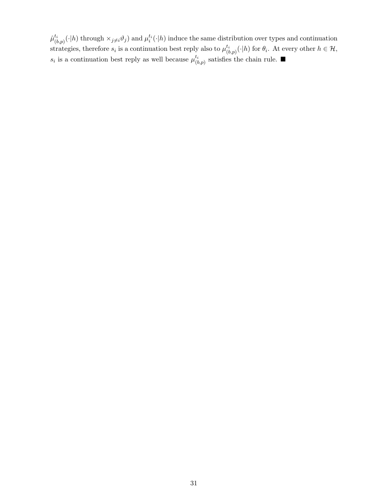$\hat{\mu}^{t_i}_{\scriptscriptstyle (i)}$  $(t_{(b,p)}(\cdot|h)$  through  $\times_{j\neq i}\vartheta_j$  and  $\mu_i^{t_i}(\cdot|h)$  induce the same distribution over types and continuation strategies, therefore  $s_i$  is a continuation best reply also to  $\mu_i^{t_i}$  $\binom{t_i}{(b,p)}(\cdot|h)$  for  $\theta_i$ . At every other  $h \in \mathcal{H}$ ,  $s_i$  is a continuation best reply as well because  $\mu^{t_i}_{\beta}$  $\binom{t_i}{(b,p)}$  satisfies the chain rule.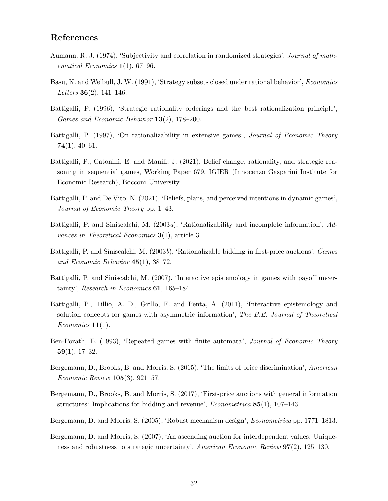## References

- <span id="page-32-4"></span>Aumann, R. J. (1974), 'Subjectivity and correlation in randomized strategies', Journal of mathematical Economics  $1(1)$ , 67–96.
- <span id="page-32-14"></span>Basu, K. and Weibull, J. W. (1991), 'Strategy subsets closed under rational behavior', Economics Letters **36** $(2)$ , 141–146.
- <span id="page-32-0"></span>Battigalli, P. (1996), 'Strategic rationality orderings and the best rationalization principle', Games and Economic Behavior 13(2), 178–200.
- <span id="page-32-12"></span>Battigalli, P. (1997), 'On rationalizability in extensive games', *Journal of Economic Theory* 74(1), 40–61.
- <span id="page-32-11"></span>Battigalli, P., Catonini, E. and Manili, J. (2021), Belief change, rationality, and strategic reasoning in sequential games, Working Paper 679, IGIER (Innocenzo Gasparini Institute for Economic Research), Bocconi University.
- <span id="page-32-1"></span>Battigalli, P. and De Vito, N. (2021), 'Beliefs, plans, and perceived intentions in dynamic games', Journal of Economic Theory pp. 1–43.
- <span id="page-32-3"></span>Battigalli, P. and Siniscalchi, M.  $(2003a)$ , 'Rationalizability and incomplete information', Advances in Theoretical Economics 3(1), article 3.
- <span id="page-32-8"></span>Battigalli, P. and Siniscalchi, M. (2003b), 'Rationalizable bidding in first-price auctions', Games and Economic Behavior 45(1), 38–72.
- <span id="page-32-9"></span>Battigalli, P. and Siniscalchi, M. (2007), 'Interactive epistemology in games with payoff uncertainty', Research in Economics 61, 165-184.
- <span id="page-32-10"></span>Battigalli, P., Tillio, A. D., Grillo, E. and Penta, A. (2011), 'Interactive epistemology and solution concepts for games with asymmetric information', The B.E. Journal of Theoretical  $Economics 11(1).$
- <span id="page-32-7"></span>Ben-Porath, E. (1993), 'Repeated games with finite automata', Journal of Economic Theory  $59(1), 17-32.$
- <span id="page-32-5"></span>Bergemann, D., Brooks, B. and Morris, S. (2015), 'The limits of price discrimination', American Economic Review 105(3), 921–57.
- <span id="page-32-6"></span>Bergemann, D., Brooks, B. and Morris, S. (2017), 'First-price auctions with general information structures: Implications for bidding and revenue', *Econometrica*  $85(1)$ , 107–143.
- <span id="page-32-2"></span>Bergemann, D. and Morris, S. (2005), 'Robust mechanism design', Econometrica pp. 1771–1813.
- <span id="page-32-13"></span>Bergemann, D. and Morris, S. (2007), 'An ascending auction for interdependent values: Uniqueness and robustness to strategic uncertainty', American Economic Review 97(2), 125–130.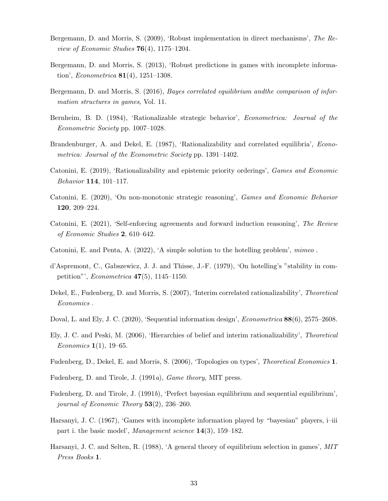- <span id="page-33-8"></span>Bergemann, D. and Morris, S. (2009), 'Robust implementation in direct mechanisms', The Review of Economic Studies  $76(4)$ , 1175–1204.
- <span id="page-33-6"></span>Bergemann, D. and Morris, S. (2013), 'Robust predictions in games with incomplete information', *Econometrica* **81**(4), 1251–1308.
- <span id="page-33-5"></span>Bergemann, D. and Morris, S. (2016), Bayes correlated equilibrium andthe comparison of information structures in games, Vol. 11.
- <span id="page-33-4"></span>Bernheim, B. D. (1984), 'Rationalizable strategic behavior', Econometrica: Journal of the Econometric Society pp. 1007–1028.
- <span id="page-33-1"></span>Brandenburger, A. and Dekel, E. (1987), 'Rationalizability and correlated equilibria', *Econo*metrica: Journal of the Econometric Society pp. 1391–1402.
- <span id="page-33-15"></span>Catonini, E. (2019), 'Rationalizability and epistemic priority orderings', Games and Economic Behavior 114, 101–117.
- <span id="page-33-14"></span>Catonini, E. (2020), 'On non-monotonic strategic reasoning', Games and Economic Behavior 120, 209–224.
- <span id="page-33-17"></span>Catonini, E. (2021), 'Self-enforcing agreements and forward induction reasoning', The Review of Economic Studies 2, 610–642.
- <span id="page-33-2"></span>Catonini, E. and Penta, A. (2022), 'A simple solution to the hotelling problem', mimeo .
- <span id="page-33-16"></span>d'Aspremont, C., Gabszewicz, J. J. and Thisse, J.-F. (1979), 'On hotelling's "stability in competition"', *Econometrica*  $47(5)$ , 1145–1150.
- <span id="page-33-10"></span>Dekel, E., Fudenberg, D. and Morris, S. (2007), 'Interim correlated rationalizability', Theoretical Economics .
- <span id="page-33-7"></span>Doval, L. and Ely, J. C. (2020), 'Sequential information design', *Econometrica* 88(6), 2575–2608.
- <span id="page-33-9"></span>Ely, J. C. and Peski, M. (2006), 'Hierarchies of belief and interim rationalizability', Theoretical *Economics*  $1(1)$ , 19–65.
- <span id="page-33-11"></span>Fudenberg, D., Dekel, E. and Morris, S. (2006), 'Topologies on types', Theoretical Economics 1.
- <span id="page-33-12"></span>Fudenberg, D. and Tirole, J. (1991a), Game theory, MIT press.
- <span id="page-33-3"></span>Fudenberg, D. and Tirole, J. (1991b), 'Perfect bayesian equilibrium and sequential equilibrium', journal of Economic Theory 53(2), 236–260.
- <span id="page-33-13"></span>Harsanyi, J. C. (1967), 'Games with incomplete information played by "bayesian" players, i–iii part i. the basic model', Management science 14(3), 159–182.
- <span id="page-33-0"></span>Harsanyi, J. C. and Selten, R. (1988), 'A general theory of equilibrium selection in games', MIT Press Books 1.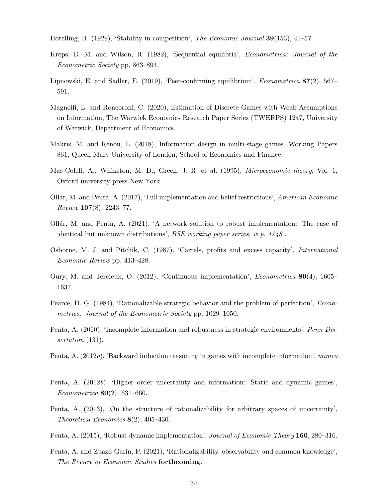<span id="page-34-5"></span>Hotelling, H. (1929), 'Stability in competition', *The Economic Journal* **39**(153), 41–57.

- <span id="page-34-2"></span>Kreps, D. M. and Wilson, R. (1982), 'Sequential equilibria', Econometrica: Journal of the Econometric Society pp. 863–894.
- <span id="page-34-0"></span>Lipnowski, E. and Sadler, E. (2019), 'Peer-confirming equilibrium', Econometrica 87(2), 567– 591.
- <span id="page-34-9"></span>Magnolfi, L. and Roncoroni, C. (2020), Estimation of Discrete Games with Weak Assumptions on Information, The Warwick Economics Research Paper Series (TWERPS) 1247, University of Warwick, Department of Economics.
- <span id="page-34-10"></span>Makris, M. and Renou, L. (2018), Information design in multi-stage games, Working Papers 861, Queen Mary University of London, School of Economics and Finance.
- <span id="page-34-8"></span>Mas-Colell, A., Whinston, M. D., Green, J. R. et al. (1995), Microeconomic theory, Vol. 1, Oxford university press New York.
- <span id="page-34-15"></span>Ollár, M. and Penta, A.  $(2017)$ , 'Full implementation and belief restrictions', American Economic Review 107(8), 2243–77.
- <span id="page-34-16"></span>Ollár, M. and Penta, A.  $(2021)$ , 'A network solution to robust implementation: The case of identical but unknown distributions', BSE working paper series, w.p. 1248 .
- <span id="page-34-6"></span>Osborne, M. J. and Pitchik, C. (1987), 'Cartels, profits and excess capacity', International Economic Review pp. 413–428.
- <span id="page-34-13"></span>Oury, M. and Tercieux, O. (2012), 'Continuous implementation', Econometrica 80(4), 1605– 1637.
- <span id="page-34-3"></span>Pearce, D. G. (1984), 'Rationalizable strategic behavior and the problem of perfection', Econometrica: Journal of the Econometric Society pp. 1029–1050.
- <span id="page-34-7"></span>Penta, A. (2010), 'Incomplete information and robustness in strategic environments', Penn Dissertation (131).
- <span id="page-34-1"></span>Penta, A. (2012*a*), 'Backward induction reasoning in games with incomplete information', *mimeo*

.

- <span id="page-34-11"></span>Penta, A. (2012b), 'Higher order uncertainty and information: Static and dynamic games', Econometrica 80(2), 631–660.
- <span id="page-34-14"></span>Penta, A. (2013), 'On the structure of rationalizability for arbitrary spaces of uncertainty', Theoretical Economics  $8(2)$ , 405-430.
- <span id="page-34-4"></span>Penta, A. (2015), 'Robust dynamic implementation', Journal of Economic Theory 160, 280–316.
- <span id="page-34-12"></span>Penta, A. and Zuazo-Garin, P. (2021), 'Rationalizability, observability and common knowledge', The Review of Economic Studies forthcoming.